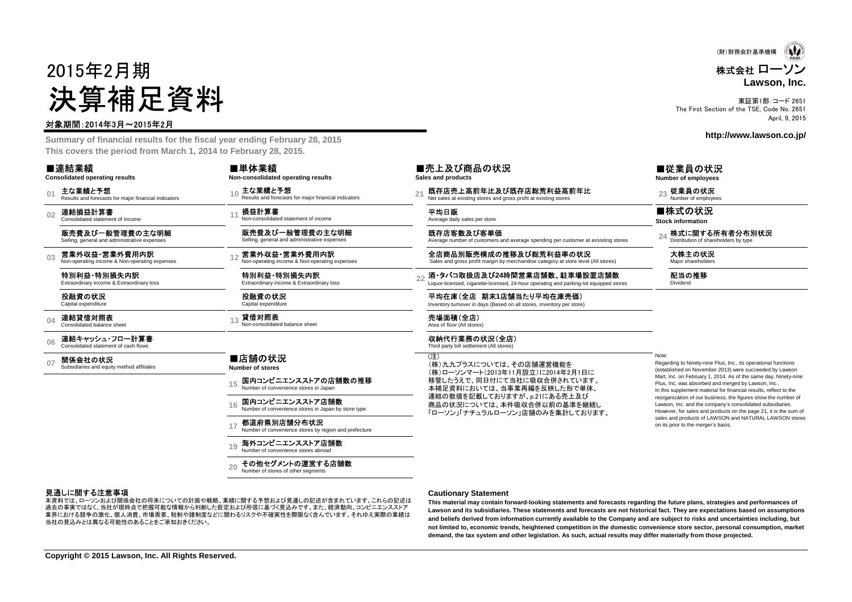# 2015年2月期決算補足資料

#### 対象期間:2014年3月~2015年2月

 **Summary of financial results for the fiscal year ending February 28, 2015This covers the period from March 1, 2014 to February 28, 2015.**

|                | ■連結業績<br><b>Consolidated operating results</b>                  | ■単体業績<br>Non-consolidated operating results                            |                | ■売上及び商品の状況<br>Sales and products                                                                                       | ■従業員の状<br>Number of employee                                                        |
|----------------|-----------------------------------------------------------------|------------------------------------------------------------------------|----------------|------------------------------------------------------------------------------------------------------------------------|-------------------------------------------------------------------------------------|
| 0 <sup>1</sup> | 主な業績と予想<br>Results and forecasts for maior financial indicators | 主な業績と予想<br>Results and forecasts for major financial indicators        | 2 <sup>1</sup> | 既存店売上高前年比及び既存店総荒利益高前年比<br>Net sales at existing stores and gross profit at existing stores                             | 従業員の状況<br>Number of employe                                                         |
| 0 <sub>2</sub> | 連結損益計算書<br>Consolidated statement of income                     | 損益計算書<br>Non-consolidated statement of income                          |                | 平均日販<br>Average daily sales per store                                                                                  | ■株式の状況<br><b>Stock information</b>                                                  |
|                | 販売費及び一般管理費の主な明細<br>Selling, general and administrative expenses | 販売費及び一般管理費の主な明細<br>Selling, general and administrative expenses        |                | 既存店客数及び客単価<br>Average number of customers and average spending per customer at exsisting stores                        | 株式に関する<br>Distribution of shar                                                      |
| 0 <sub>3</sub> | 営業外収益・営業外費用内訳<br>Non-operating income & Non-operating expenses  | 営業外収益・営業外費用内訳<br>Non-operating income & Non-operating expenses         |                | 全店商品別販売構成の推移及び総荒利益率の状況<br>Sales and gross profit margin by merchandise category at store level (All stores)            | 大株主の状況<br>Major shareholders                                                        |
|                | 特別利益·特別損失内訳<br>Extraordinary income & Extraordinary loss        | 特別利益·特別損失内訳<br>Extraordinary income & Extraordinary loss               | 22             | 酒・タバコ取扱店及び24時間営業店舗数、駐車場設置店舗数<br>Liquor-licensed, cigarette-licensed, 24-hour operating and parking-lot equipped stores | 配当の推移<br>Dividend                                                                   |
|                | 投融資の状況<br>Capital expenditure                                   | 投融資の状況<br>Capital expenditure                                          |                | 平均在庫(全店 期末1店舗当たり平均在庫売価)<br>Inventory turnover in days (Based on all stores, inventory per store)                       |                                                                                     |
| 04             | 連結貸借対照表<br>Consolidated balance sheet                           | 貸借対照表<br>Non-consolidated balance sheet                                |                | 売場面積(全店)<br>Area of floor (All stores)                                                                                 |                                                                                     |
| 06             | 連結キャッシュ・フロー計算書<br>Consolidated statement of cash flows          |                                                                        |                | 収納代行業務の状況(全店)<br>Third party bill settlement (All stores)                                                              |                                                                                     |
| 0 <sub>7</sub> | 関係会社の状況<br>Subsidiaries and equity method affiliates            | ■店舗の状況<br>Number of stores                                             |                | (注)<br>(株)九九プラスについては、その店舗運営機能を<br>(株)ローソンマート(2013年11月設立)に2014年2月1日に                                                    | Note:<br>Regarding to Ninety-nine<br>(established on Novembe                        |
|                |                                                                 | 国内コンビニエンスストアの店舗数の推移<br>Number of convenience stores in Japan           |                | 移管したうえで、同日付にて当社に吸収合併されています。<br>本補足資料においては、当事業再編を反映した形で単体、                                                              | Mart, Inc. on February 1,<br>Plus, Inc. was absorbed a<br>In this supplement materi |
|                |                                                                 | 国内コンビニエンスストア店舗数<br>Number of convenience stores in Japan by store type |                | 連結の数値を記載しておりますが、p.21にある売上及び<br>商品の状況については、本件吸収合併以前の基準を継続し<br>「ローソン」「ナチュラルローソン」店舗のみを集計しております。                           | reorganization of our busi<br>Lawson, Inc. and the com<br>However, for sales and pr |
|                |                                                                 | 都道府県別店舗分布状況<br>Number of convenience stores by region and prefecture   |                |                                                                                                                        | sales and products of LA<br>on its prior to the merger's                            |
|                |                                                                 | 海外コンビニエンスストア店舗数                                                        |                |                                                                                                                        |                                                                                     |

Number of convenience stores abroad

その他セグメントの運営する店舗数Number of stores of other segments

**1920**

本資料では、ローソンおよび関係会社の将来についての計画や戦略、業績に関する予想および見通しの記述が含まれています。これらの記述は

 過去の事実ではなく、当社が現時点で把握可能な情報から判断した仮定および所信に基づく見込みです。また、経済動向、コンビニエンスストア 業界における競争の激化、個人消費、市場需要、税制や諸制度などに関わるリスクや不確実性を際限なく含んでいます。それゆえ実際の業績は当社の見込みとは異なる可能性のあることをご承知おきください。

見通しに関する注意事項

 Regarding to Ninety-nine Plus, Inc., its operational functions (established on November 2013) were succeeded by Lawson Mart, Inc. on February 1, 2014. As of the same day, Ninety-ninePlus, Inc. was absorbed and merged by Lawson, Inc.. In this supplement material for financial results, reflect to the reorganization of our business, the figures show the number ofLawson, Inc. and the company's consolidated subsidiaries. However, for sales and products on the page 21, it is the sum of sales and products of LAWSON and NATURAL LAWSON storeson its prior to the merger's basis.

#### **Cautionary Statement**

 **This material may contain forward-looking statements and forecasts regarding the future plans, strategies and performances of Lawson and its subsidiaries. These statements and forecasts are not historical fact. They are expectations based on assumptionsand beliefs derived from information currently available to the Company and are subject to risks and uncertainties including, but not limited to, economic trends, heightened competition in the domestic convenience store sector, personal consumption, marketdemand, the tax system and other legislation. As such, actual results may differ materially from those projected.**

東証第1部:コード 2651 The First Section of the TSE, Code No. 2651April, 9, 2015

**http://www.lawson.co.jp/**

株式会社 ローソン

(財)財務会計基準機構

**Lawson, Inc.**

#### ■従業員の状況

**Number of employees**

24 株式に関する所有者分布別状況

**Copyright © 2015 Lawson, Inc. All Rights Reserved.**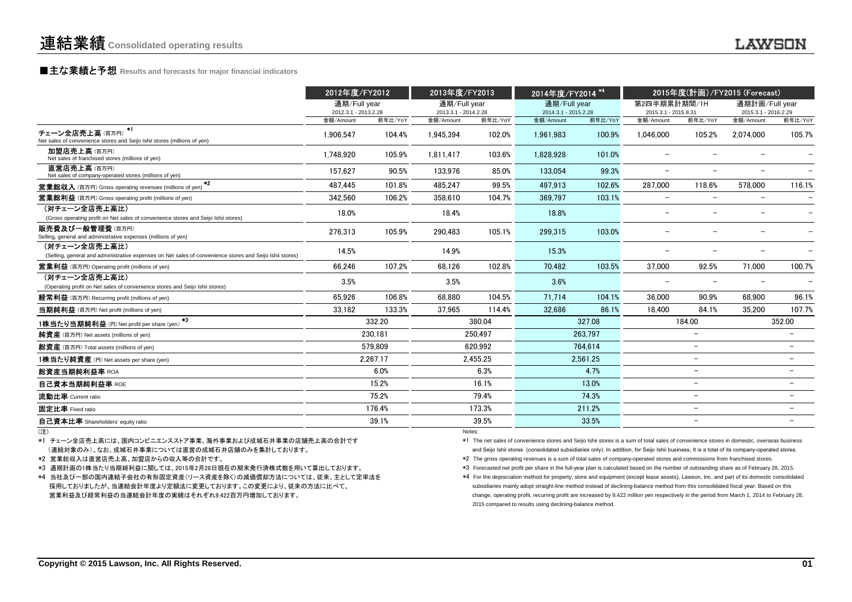## **■主な業績と予想** Results and forecasts for major financial indicators<br>
————————————————————

|                                                                                                                           | 2012年度/FY2012                     |          | 2013年度/FY2013                     |          | 2014年度/FY2014 <sup>*4</sup>       |          | 2015年度(計画)/FY2015 (Forecast)      |                          |                                   |                          |
|---------------------------------------------------------------------------------------------------------------------------|-----------------------------------|----------|-----------------------------------|----------|-----------------------------------|----------|-----------------------------------|--------------------------|-----------------------------------|--------------------------|
|                                                                                                                           | 通期/Full year                      |          | 通期/Full year                      |          | 通期/Full year                      |          | 第2四半期累計期間/1H                      |                          | 通期計画/Full year                    |                          |
|                                                                                                                           | 2012.3.1 - 2013.2.28<br>金額/Amount | 前年比/YoY  | 2013.3.1 - 2014.2.28<br>金額/Amount | 前年比/YoY  | 2014.3.1 - 2015.2.28<br>金額/Amount | 前年比/YoY  | 2015.3.1 - 2015.8.31<br>金額/Amount | 前年比/YoY                  | 2015.3.1 - 2016.2.29<br>金額/Amount | 前年比/YoY                  |
| $*1$<br>チェーン全店売上高(百万円)<br>Net sales of convenience stores and Seijo Ishii stores (millions of yen)                        | 1.906.547                         | 104.4%   | 1.945.394                         | 102.0%   | 1.961.983                         | 100.9%   | 1.046.000                         | 105.2%                   | 2.074.000                         | 105.7%                   |
| 加盟店売上高(百万円)<br>Net sales of franchised stores (millions of yen)                                                           | 1,748,920                         | 105.9%   | 1.811.417                         | 103.6%   | 1,828,928                         | 101.0%   |                                   |                          |                                   |                          |
| 直営店売上高(百万円)<br>Net sales of company-operated stores (millions of yen)                                                     | 157.627                           | 90.5%    | 133.976                           | 85.0%    | 133.054                           | 99.3%    | $\overline{\phantom{0}}$          | $\overline{\phantom{0}}$ |                                   |                          |
| $*2$<br><b>営業総収入</b> (百万円) Gross operating revenues (millions of yen)                                                     | 487.445                           | 101.8%   | 485.247                           | 99.5%    | 497.913                           | 102.6%   | 287.000                           | 118.6%                   | 578.000                           | 116.1%                   |
| <b>営業総利益</b> (百万円) Gross operating profit (millions of yen)                                                               | 342,560                           | 106.2%   | 358.610                           | 104.7%   | 369.797                           | 103.1%   | $\overline{\phantom{m}}$          | $\overline{\phantom{a}}$ |                                   |                          |
| (対チェーン全店売上高比)<br>(Gross operating profit on Net sales of convenience stores and Seijo Ishii stores)                       | 18.0%                             |          | 18.4%                             |          | 18.8%                             |          | <u>—</u>                          |                          |                                   |                          |
| 販売費及び一般管理費 (百万円)<br>Selling, general and administrative expenses (millions of yen)                                        | 276.313                           | 105.9%   | 290.483                           | 105.1%   | 299.315                           | 103.0%   |                                   |                          |                                   |                          |
| (対チェーン全店売上高比)<br>(Selling, general and administrative expenses on Net sales of convenience stores and Seijo Ishii stores) | 14.5%                             |          | 14.9%                             |          | 15.3%                             |          |                                   |                          |                                   |                          |
| <b>営業利益</b> (百万円) Operating profit (millions of yen)                                                                      | 66,246                            | 107.2%   | 68.126                            | 102.8%   | 70.482                            | 103.5%   | 37.000                            | 92.5%                    | 71.000                            | 100.7%                   |
| (対チェーン全店売上高比)<br>(Operating profit on Net sales of convenience stores and Seijo Ishii stores)                             | 3.5%                              |          | 3.5%                              |          | 3.6%                              |          |                                   |                          |                                   |                          |
| 経常利益 (百万円) Recurring profit (millions of yen)                                                                             | 65.926                            | 106.8%   | 68.880                            | 104.5%   | 71.714                            | 104.1%   | 36,000                            | 90.9%                    | 68.900                            | 96.1%                    |
| 当期純利益 (百万円) Net profit (millions of yen)                                                                                  | 33.182                            | 133.3%   | 37.965                            | 114.4%   | 32.686                            | 86.1%    | 18.400                            | 84.1%                    | 35.200                            | 107.7%                   |
| $*3$<br>1株当たり当期純利益 (円) Net profit per share (yen)                                                                         |                                   | 332.20   |                                   | 380.04   |                                   | 327.08   |                                   | 184.00                   |                                   | 352.00                   |
| 純資産 (百万円) Net assets (millions of yen)                                                                                    |                                   | 230.181  |                                   | 250.497  |                                   | 263.797  |                                   | $\overline{\phantom{0}}$ |                                   |                          |
| 総資産 (百万円) Total assets (millions of yen)                                                                                  |                                   | 579.809  |                                   | 620.992  |                                   | 764.614  |                                   | $\overline{\phantom{0}}$ |                                   | Ξ.                       |
| 1株当たり純資産 (円) Net assets per share (yen)                                                                                   |                                   | 2,267.17 |                                   | 2,455.25 |                                   | 2,561.25 |                                   | $\overline{\phantom{0}}$ |                                   |                          |
| 総資産当期純利益率 ROA                                                                                                             |                                   | 6.0%     |                                   | 6.3%     |                                   | 4.7%     |                                   | $\overline{\phantom{0}}$ | $\overline{\phantom{0}}$          |                          |
| 自己資本当期純利益率 ROE                                                                                                            |                                   | 15.2%    |                                   | 16.1%    |                                   | 13.0%    |                                   | $\overline{\phantom{0}}$ |                                   | $\overline{\phantom{0}}$ |
| 流動比率 Current ratio                                                                                                        |                                   | 75.2%    |                                   | 79.4%    |                                   | 74.3%    |                                   | $\overline{\phantom{0}}$ |                                   |                          |
| 固定比率 Fixed ratio                                                                                                          |                                   | 176.4%   |                                   | 173.3%   |                                   | 211.2%   |                                   | $\overline{\phantom{0}}$ |                                   | $\overline{\phantom{0}}$ |
| 自己資本比率 Shareholders' equity ratio                                                                                         |                                   | 39.1%    |                                   | 39.5%    |                                   | 33.5%    |                                   | $\overline{\phantom{0}}$ |                                   | $\overline{\phantom{0}}$ |
|                                                                                                                           |                                   |          | Notes:                            |          |                                   |          |                                   |                          |                                   |                          |

(注)

\*1 チェーン全店売上高には、国内コンビニエンスストア事業、海外事業および成城石井事業の店舗売上高の合計です(連結対象のみ)。なお、成城石井事業については直営の成城石井店舗のみを集計しております。

\*2 営業総収入は直営店売上高、加盟店からの収入等の合計です。

\*3 通期計画の1株当たり当期純利益に関しては、2015年2月28日現在の期末発行済株式数を用いて算出しております。

\*4 当社及び一部の国内連結子会社の有形固定資産(リース資産を除く)の減価償却方法については、従来、主として定率法を採用しておりましたが、当連結会計年度より定額法に変更しております。この変更により、従来の方法に比べて、営業利益及び経常利益の当連結会計年度の実績はそれぞれ9,422百万円増加しております。

) and the contract of the contract of the contract of the contract of the contract of the contract of the contract of the contract of the contract of the contract of the contract of the contract of the contract of the cont

 \*1 The net sales of convenience stores and Seijo Ishii stores is a sum of total sales of convenience stores in domestic, overseas business and Seijo Ishii stores (consolidated subsidiaries only). In addition, for Seijo Ishii business, It is a total of its company-operated stores.

\*2 The gross operating revenues is a sum of total sales of company-operated stores and commissions from franchised stores.

\*3 Forecasted net profit per share in the full-year plan is calculated based on the number of outstanding share as of February 28, 2015.

 \*4 For the depreciation method for property, store and equipment (except lease assets), Lawson, Inc. and part of its domestic consolidated subsidiaries mainly adopt straight-line method instead of declining-balance method from this consolidated fiscal year. Based on this change, operating profit, recurring profit are increased by 9,422 million yen respectively in the period from March 1, 2014 to February 28, 2015 compared to results using declining-balance method.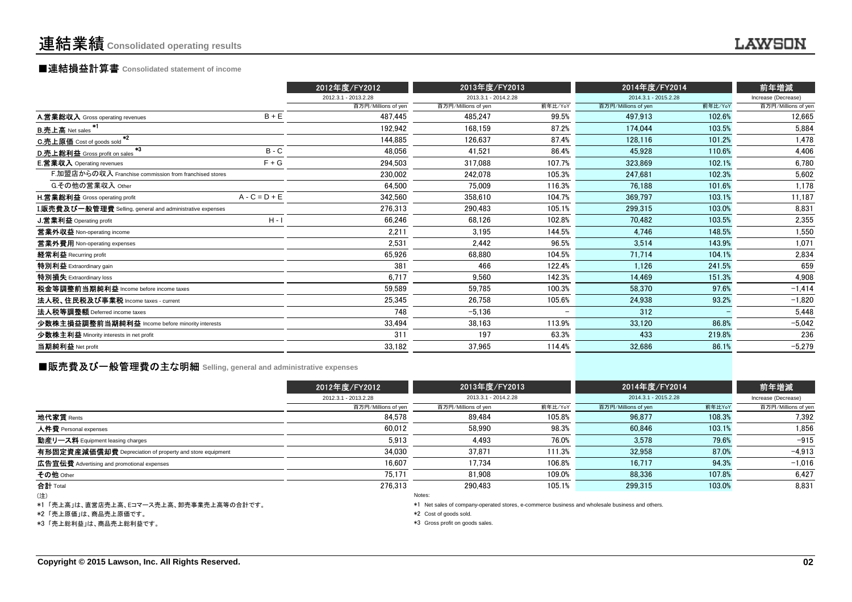## ■連結損益計算書 **Consolidated statement of income**

|                                                                  |                 | 2012年度/FY2012        | 2013年度/FY2013        |                          | 2014年度/FY2014        |         | 前年増減                |
|------------------------------------------------------------------|-----------------|----------------------|----------------------|--------------------------|----------------------|---------|---------------------|
|                                                                  |                 | 2012.3.1 - 2013.2.28 | 2013.3.1 - 2014.2.28 |                          | 2014.3.1 - 2015.2.28 |         | Increase (Decrease) |
|                                                                  |                 | 百万円/Millions of yen  | 百万円/Millions of yen  | 前年比/YoY                  | 百万円/Millions of yen  | 前年比/YoY | 百万円/Millions of yen |
| A.営業総収入 Gross operating revenues                                 | $B + E$         | 487.445              | 485.247              | 99.5%                    | 497.913              | 102.6%  | 12,665              |
| <b>B.売上高</b> Net sales                                           |                 | 192,942              | 168.159              | 87.2%                    | 174.044              | 103.5%  | 5,884               |
| $*2$<br>C.売上原価 Cost of goods sold                                |                 | 144.885              | 126,637              | 87.4%                    | 128.116              | 101.2%  | 1,478               |
| *3<br>D.売上総利益 Gross profit on sales                              | $B - C$         | 48,056               | 41.521               | 86.4%                    | 45.928               | 110.6%  | 4,406               |
| <b>E.営業収入</b> Operating revenues                                 | $F + G$         | 294.503              | 317,088              | 107.7%                   | 323,869              | 102.1%  | 6,780               |
| F.加盟店からの収入 Franchise commission from franchised stores           |                 | 230.002              | 242.078              | 105.3%                   | 247.681              | 102.3%  | 5,602               |
| G.その他の営業収入 Other                                                 |                 | 64.500               | 75.009               | 116.3%                   | 76.188               | 101.6%  | 1,178               |
| <b>H.営業総利益</b> Gross operating profit                            | $A - C = D + E$ | 342,560              | 358.610              | 104.7%                   | 369.797              | 103.1%  | 11,187              |
| <b>I.販売費及び一般管理費</b> Selling, general and administrative expenses |                 | 276,313              | 290.483              | 105.1%                   | 299.315              | 103.0%  | 8,831               |
| J.営業利益 Operating profit                                          | $H - I$         | 66,246               | 68.126               | 102.8%                   | 70.482               | 103.5%  | 2,355               |
| 営業外収益 Non-operating income                                       |                 | 2.211                | 3.195                | 144.5%                   | 4,746                | 148.5%  | 1,550               |
| 営業外費用 Non-operating expenses                                     |                 | 2,531                | 2.442                | 96.5%                    | 3,514                | 143.9%  | 1,071               |
| 経常利益 Recurring profit                                            |                 | 65,926               | 68.880               | 104.5%                   | 71,714               | 104.1%  | 2,834               |
| 特別利益 Extraordinary gain                                          |                 | 381                  | 466                  | 122.4%                   | 1,126                | 241.5%  | 659                 |
| 特別損失 Extraordinary loss                                          |                 | 6,717                | 9.560                | 142.3%                   | 14.469               | 151.3%  | 4,908               |
| 税金等調整前当期純利益 Income before income taxes                           |                 | 59.589               | 59.785               | 100.3%                   | 58.370               | 97.6%   | $-1,414$            |
| 法人税、住民税及び事業税 Income taxes - current                              |                 | 25,345               | 26,758               | 105.6%                   | 24,938               | 93.2%   | $-1,820$            |
| 法人税等調整額 Deferred income taxes                                    |                 | 748                  | $-5.136$             | $\overline{\phantom{a}}$ | 312                  |         | 5,448               |
| 少数株主損益調整前当期純利益 Income before minority interests                  |                 | 33,494               | 38.163               | 113.9%                   | 33,120               | 86.8%   | $-5,042$            |
| 少数株主利益 Minority interests in net profit                          |                 | 311                  | 197                  | 63.3%                    | 433                  | 219.8%  | 236                 |
| 当期純利益 Net profit                                                 |                 | 33,182               | 37,965               | 114.4%                   | 32,686               | 86.1%   | $-5,279$            |
|                                                                  |                 |                      |                      |                          |                      |         |                     |

### **■販売費及び一般管理費の主な明細** Selling, general and administrative expenses

|                                                          | 2012年度/FY2012        | 2013年度/FY2013        |         | 2014年度/FY2014        |        | 前年増減                |
|----------------------------------------------------------|----------------------|----------------------|---------|----------------------|--------|---------------------|
|                                                          | 2012.3.1 - 2013.2.28 | 2013.3.1 - 2014.2.28 |         | 2014.3.1 - 2015.2.28 |        | Increase (Decrease) |
|                                                          | 百万円/Millions of yen  | 百万円/Millions of yen  | 前年比/YoY | 百万円/Millions of yen  | 前年比YoY | 百万円/Millions of yen |
| 地代家賃 Rents                                               | 84.578               | 89.484               | 105.8%  | 96.877               | 108.3% | 7,392               |
| 人件費 Personal expenses                                    | 60.012               | 58.990               | 98.3%   | 60.846               | 103.1% | 1,856               |
| 動産リース料 Equipment leasing charges                         | 5,913                | 4.493                | 76.0%   | 3,578                | 79.6%  | $-915$              |
| 有形固定資産減価償却費 Depreciation of property and store equipment | 34,030               | 37,871               | 111.3%  | 32,958               | 87.0%  | $-4,913$            |
| 広告宣伝費 Advertising and promotional expenses               | 16,607               | 17.734               | 106.8%  | 16.717               | 94.3%  | $-1.016$            |
| その他 Other                                                | 75,171               | 81.908               | 109.0%  | 88.336               | 107.8% | 6,427               |
| 合計 Total                                                 | 276.313              | 290.483              | 105.1%  | 299.315              | 103.0% | 8,831               |
| $(\pm)$                                                  |                      | Notes:               |         |                      |        |                     |

(注)

\*1 「売上高」は、直営店売上高、Eコマース売上高、卸売事業売上高等の合計です。

\*2 「売上原価」は、商品売上原価です。

\*3 「売上総利益」は、商品売上総利益です。

Notes:

\*1 Net sales of company-operated stores, e-commerce business and wholesale business and others.

 $*2$  Cost of goods sold.

\*3 Gross profit on goods sales.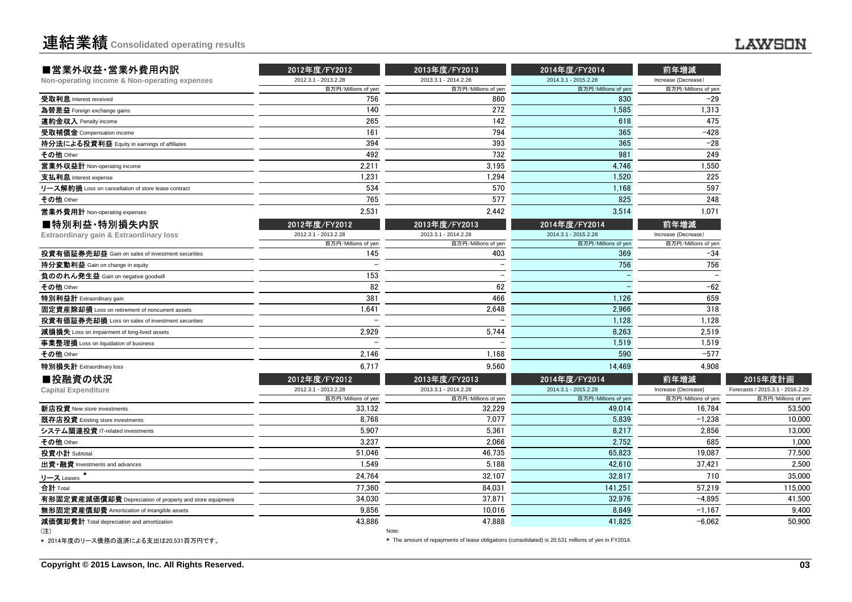| 2012.3.1 - 2013.2.28<br>百万円/Millions of yen<br>756<br>140 | 2013.3.1 - 2014.2.28<br>百万円/Millions of yen        | 2014.3.1 - 2015.2.28                                                     | Increase (Decrease)                                              |                                                              |
|-----------------------------------------------------------|----------------------------------------------------|--------------------------------------------------------------------------|------------------------------------------------------------------|--------------------------------------------------------------|
|                                                           |                                                    |                                                                          |                                                                  |                                                              |
|                                                           |                                                    | 百万円/Millions of yen                                                      | 百万円/Millions of yen                                              |                                                              |
|                                                           | 860                                                | 830                                                                      | $-29$                                                            |                                                              |
|                                                           | 272                                                | 1,585                                                                    | 1,313                                                            |                                                              |
| 265                                                       | 142                                                | 618                                                                      | 475                                                              |                                                              |
| 161                                                       | 794                                                | 365                                                                      | $-428$                                                           |                                                              |
| 394                                                       | 393                                                | 365                                                                      | $-28$                                                            |                                                              |
| 492                                                       | 732                                                | 981                                                                      | 249                                                              |                                                              |
| 2,211                                                     | 3,195                                              | 4,746                                                                    | 1,550                                                            |                                                              |
| 1,231                                                     | 1,294                                              | 1,520                                                                    | 225                                                              |                                                              |
| 534                                                       | 570                                                | 1,168                                                                    | 597                                                              |                                                              |
| 765                                                       | 577                                                | 825                                                                      | 248                                                              |                                                              |
| 2,531                                                     | 2,442                                              | 3,514                                                                    | 1,071                                                            |                                                              |
| 2012年度/FY2012                                             | 2013年度/FY2013                                      | 2014年度/FY2014                                                            | 前年増減                                                             |                                                              |
| 2012.3.1 - 2013.2.28                                      | 2013.3.1 - 2014.2.28                               | 2014.3.1 - 2015.2.28                                                     | Increase (Decrease)                                              |                                                              |
| 百万円/Millions of yen                                       | 百万円/Millions of yen                                | 百万円/Millions of yen                                                      | 百万円/Millions of yen                                              |                                                              |
|                                                           |                                                    |                                                                          |                                                                  |                                                              |
| $\overline{\phantom{a}}$                                  |                                                    |                                                                          |                                                                  |                                                              |
|                                                           | $\overline{\phantom{0}}$                           |                                                                          |                                                                  |                                                              |
|                                                           |                                                    |                                                                          |                                                                  |                                                              |
|                                                           | 466                                                | 1,126                                                                    |                                                                  |                                                              |
| 1.641                                                     |                                                    |                                                                          |                                                                  |                                                              |
| $\overline{a}$                                            | $\overline{a}$                                     | 1,128                                                                    | 1,128                                                            |                                                              |
| 2,929                                                     | 5,744                                              | 8,263                                                                    | 2,519                                                            |                                                              |
|                                                           |                                                    | 1,519                                                                    | 1,519                                                            |                                                              |
| 2.146                                                     | 1,168                                              | 590                                                                      | $-577$                                                           |                                                              |
| 6.717                                                     | 9.560                                              | 14,469                                                                   | 4.908                                                            |                                                              |
|                                                           |                                                    |                                                                          |                                                                  | 2015年度計画                                                     |
| 2012.3.1 - 2013.2.28                                      | 2013.3.1 - 2014.2.28                               | 2014.3.1 - 2015.2.28                                                     | Increase (Decrease)                                              | Forecasts / 2015.3.1 - 2016.2.29                             |
| 百万円/Millions of yen                                       | 百万円/Millions of yen                                | 百万円/Millions of yen                                                      | 百万円/Millions of yen                                              | 百万円/Millions of yer                                          |
|                                                           |                                                    |                                                                          |                                                                  | 53,500                                                       |
| 8.768                                                     |                                                    |                                                                          | $-1,238$                                                         | 10,000                                                       |
| 5.907                                                     |                                                    |                                                                          |                                                                  | 13,000                                                       |
| 3,237                                                     | 2,066                                              | 2,752                                                                    | 685                                                              | 1,000                                                        |
| 51.046                                                    | 46,735                                             | 65,823                                                                   | 19,087                                                           | 77,500                                                       |
| 1,549                                                     | 5,188                                              | 42,610                                                                   | 37,421                                                           | 2,500                                                        |
| 24,764                                                    | 32,107                                             | 32,817                                                                   | 710                                                              | 35,000                                                       |
| 77.360                                                    | 84.031                                             | 141,251                                                                  | 57.219                                                           | 115,000                                                      |
| 34.030                                                    | 37.871                                             | 32.976                                                                   | $-4.895$                                                         | 41.500                                                       |
| 9,856                                                     | 10,016                                             | 8,849                                                                    | $-1,167$                                                         | 9,400                                                        |
| 43.886                                                    | 47.888                                             | 41.825                                                                   | $-6.062$                                                         | 50.900                                                       |
|                                                           | 145<br>153<br>82<br>381<br>2012年度/FY2012<br>33,132 | 403<br>62<br>2,648<br>2013年度/FY2013<br>32,229<br>7,077<br>5,361<br>Note: | 369<br>756<br>2,966<br>2014年度/FY2014<br>49.014<br>5,839<br>8,217 | -34<br>756<br>$-62$<br>659<br>318<br>前年増減<br>16,784<br>2,856 |

\* 2014年度のリース債務の返済による支出は20,531百万円です。

\* The amount of repayments of lease obligations (consolidated) is 20,531 millions of yen in FY2014.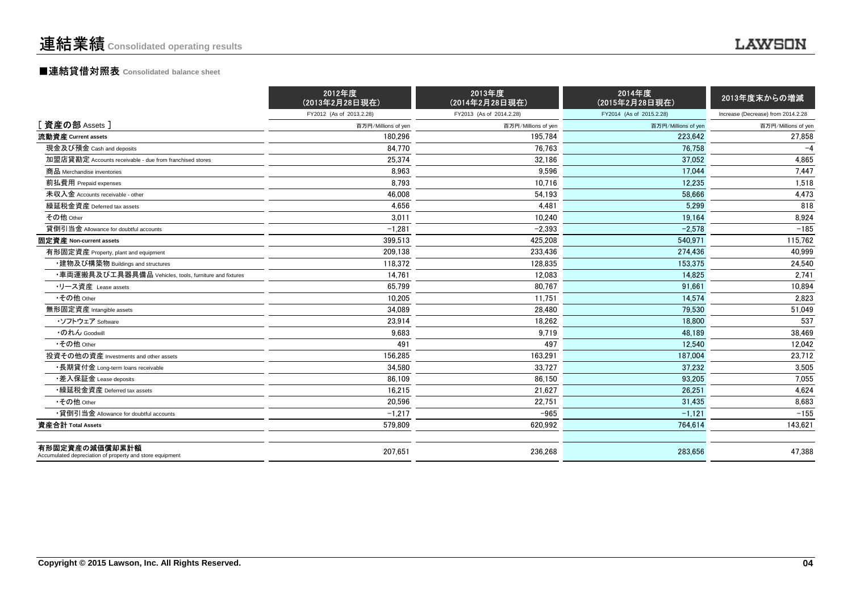### ■連結貸借対照表 **Consolidated balance sheet**

|                                                                            | 2012年度<br>(2013年2月28日現在) | 2013年度<br>(2014年2月28日現在) | 2014年度<br>(2015年2月28日現在) | 2013年度末からの増減                       |
|----------------------------------------------------------------------------|--------------------------|--------------------------|--------------------------|------------------------------------|
|                                                                            | FY2012 (As of 2013.2.28) | FY2013 (As of 2014.2.28) | FY2014 (As of 2015.2.28) | Increase (Decrease) from 2014.2.28 |
| [資産の部 Assets]                                                              | 百万円/Millions of yen      | 百万円/Millions of yen      | 百万円/Millions of yen      | 百万円/Millions of yen                |
| 流動資産 Current assets                                                        | 180.296                  | 195.784                  | 223.642                  | 27,858                             |
| 現金及び預金 Cash and deposits                                                   | 84,770                   | 76,763                   | 76,758                   | $-4$                               |
| 加盟店貸勘定 Accounts receivable - due from franchised stores                    | 25.374                   | 32.186                   | 37.052                   | 4,865                              |
| 商品 Merchandise inventories                                                 | 8.963                    | 9.596                    | 17.044                   | 7.447                              |
| 前払費用 Prepaid expenses                                                      | 8,793                    | 10,716                   | 12,235                   | 1,518                              |
| 未収入金 Accounts receivable - other                                           | 46.008                   | 54,193                   | 58.666                   | 4,473                              |
| 繰延税金資産 Deferred tax assets                                                 | 4.656                    | 4.481                    | 5.299                    | 818                                |
| その他 Other                                                                  | 3.011                    | 10.240                   | 19.164                   | 8,924                              |
| 貸倒引当金 Allowance for doubtful accounts                                      | $-1.281$                 | $-2.393$                 | $-2.578$                 | $-185$                             |
| 固定資産 Non-current assets                                                    | 399,513                  | 425,208                  | 540.971                  | 115,762                            |
| 有形固定資産 Property, plant and equipment                                       | 209,138                  | 233,436                  | 274.436                  | 40.999                             |
| ・建物及び構築物 Buildings and structures                                          | 118,372                  | 128,835                  | 153,375                  | 24,540                             |
| ・車両運搬具及び工具器具備品 Vehicles, tools, furniture and fixtures                     | 14.761                   | 12.083                   | 14.825                   | 2.741                              |
| ・リース資産 Lease assets                                                        | 65.799                   | 80.767                   | 91.661                   | 10.894                             |
| •その他 Other                                                                 | 10,205                   | 11,751                   | 14,574                   | 2,823                              |
| 無形固定資産 Intangible assets                                                   | 34,089                   | 28,480                   | 79,530                   | 51,049                             |
| ・ソフトウェア Software                                                           | 23,914                   | 18,262                   | 18,800                   | 537                                |
| ・のれん Goodwill                                                              | 9,683                    | 9,719                    | 48.189                   | 38,469                             |
| •その他 Other                                                                 | 491                      | 497                      | 12.540                   | 12.042                             |
| 投資その他の資産 Investments and other assets                                      | 156,285                  | 163,291                  | 187.004                  | 23,712                             |
| ・長期貸付金 Long-term loans receivable                                          | 34,580                   | 33,727                   | 37.232                   | 3,505                              |
| •差入保証金 Lease deposits                                                      | 86.109                   | 86.150                   | 93.205                   | 7.055                              |
| ・繰延税金資産 Deferred tax assets                                                | 16,215                   | 21,627                   | 26.251                   | 4,624                              |
| •その他 Other                                                                 | 20,596                   | 22,751                   | 31.435                   | 8,683                              |
| •貸倒引当金 Allowance for doubtful accounts                                     | $-1,217$                 | $-965$                   | $-1,121$                 | $-155$                             |
| 資産合計 Total Assets                                                          | 579,809                  | 620,992                  | 764.614                  | 143,621                            |
| 有形固定資産の減価償却累計額<br>Accumulated depreciation of property and store equipment | 207.651                  | 236,268                  | 283.656                  | 47.388                             |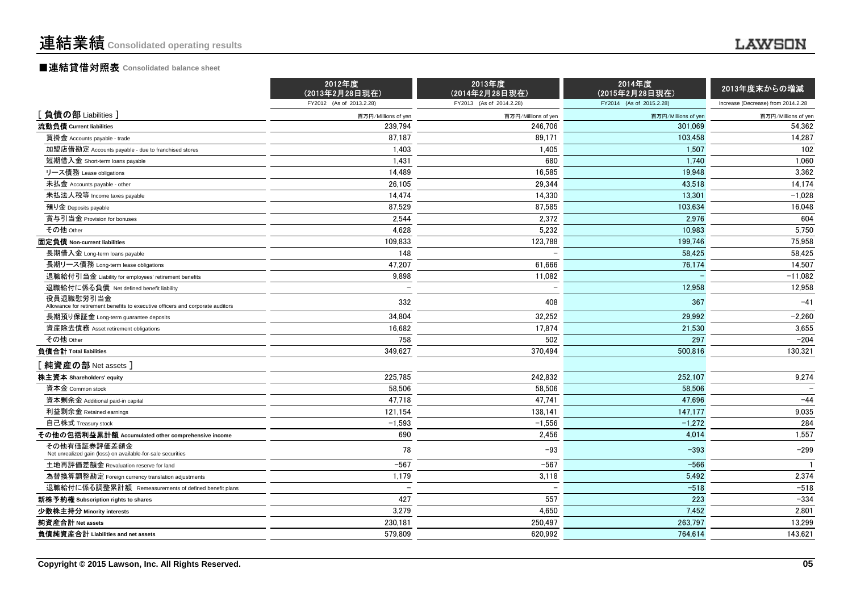### ■連結貸借対照表 **Consolidated balance sheet**

|                                                                                             | 2012年度<br>(2013年2月28日現在) | 2013年度<br>(2014年2月28日現在) | 2014年度<br>(2015年2月28日現在) | 2013年度末からの増減                       |
|---------------------------------------------------------------------------------------------|--------------------------|--------------------------|--------------------------|------------------------------------|
|                                                                                             | FY2012 (As of 2013.2.28) | FY2013 (As of 2014.2.28) | FY2014 (As of 2015.2.28) | Increase (Decrease) from 2014.2.28 |
| [負債の部 Liabilities]                                                                          | 百万円/Millions of yen      | 百万円/Millions of yen      | 百万円/Millions of yen      | 百万円/Millions of yen                |
| 流動負債 Current liabilities                                                                    | 239.794                  | 246.706                  | 301.069                  | 54,362                             |
| 買掛金 Accounts payable - trade                                                                | 87,187                   | 89,171                   | 103,458                  | 14,287                             |
| 加盟店借勘定 Accounts payable - due to franchised stores                                          | 1,403                    | 1,405                    | 1.507                    | 102                                |
| 短期借入金 Short-term loans payable                                                              | 1,431                    | 680                      | 1.740                    | 1,060                              |
| リース債務 Lease obligations                                                                     | 14,489                   | 16,585                   | 19,948                   | 3,362                              |
| 未払金 Accounts payable - other                                                                | 26,105                   | 29,344                   | 43,518                   | 14,174                             |
| 未払法人税等 Income taxes payable                                                                 | 14,474                   | 14,330                   | 13,301                   | $-1,028$                           |
| 預り金 Deposits payable                                                                        | 87,529                   | 87,585                   | 103,634                  | 16,048                             |
| 賞与引当金 Provision for bonuses                                                                 | 2,544                    | 2,372                    | 2.976                    | 604                                |
| その他 Other                                                                                   | 4,628                    | 5,232                    | 10,983                   | 5,750                              |
| 固定負債 Non-current liabilities                                                                | 109,833                  | 123,788                  | 199,746                  | 75,958                             |
| 長期借入金 Long-term loans payable                                                               | 148                      |                          | 58.425                   | 58.425                             |
| 長期リース債務 Long-term lease obligations                                                         | 47,207                   | 61,666                   | 76,174                   | 14,507                             |
| 退職給付引当金 Liability for employees' retirement benefits                                        | 9,898                    | 11,082                   |                          | $-11,082$                          |
| 退職給付に係る負債 Net defined benefit liability                                                     |                          |                          | 12,958                   | 12,958                             |
| 役員退職慰労引当金<br>Allowance for retirement benefits to executive officers and corporate auditors | 332                      | 408                      | 367                      | $-41$                              |
| 長期預り保証金 Long-term guarantee deposits                                                        | 34,804                   | 32,252                   | 29,992                   | $-2,260$                           |
| 資産除去債務 Asset retirement obligations                                                         | 16,682                   | 17,874                   | 21,530                   | 3,655                              |
| その他 Other                                                                                   | 758                      | 502                      | 297                      | $-204$                             |
| 負債合計 Total liabilities                                                                      | 349.627                  | 370.494                  | 500.816                  | 130,321                            |
| 热資産の部 Net assets                                                                            |                          |                          |                          |                                    |
| 株主資本 Shareholders' equity                                                                   | 225,785                  | 242,832                  | 252,107                  | 9,274                              |
| 資本金 Common stock                                                                            | 58,506                   | 58,506                   | 58.506                   |                                    |
| 資本剰余金 Additional paid-in capital                                                            | 47,718                   | 47,741                   | 47,696                   | $-44$                              |
| 利益剰余金 Retained earnings                                                                     | 121,154                  | 138,141                  | 147,177                  | 9,035                              |
| 自己株式 Treasury stock                                                                         | $-1,593$                 | $-1,556$                 | $-1,272$                 | 284                                |
| その他の包括利益累計額 Accumulated other comprehensive income                                          | 690                      | 2.456                    | 4.014                    | 1.557                              |
| その他有価証券評価差額金<br>Net unrealized gain (loss) on available-for-sale securities                 | 78                       | $-93$                    | $-393$                   | $-299$                             |
| 土地再評価差額金 Revaluation reserve for land                                                       | $-567$                   | $-567$                   | $-566$                   |                                    |
| 為替換算調整勘定 Foreign currency translation adjustments                                           | 1,179                    | 3,118                    | 5,492                    | 2,374                              |
| 退職給付に係る調整累計額 Remeasurements of defined benefit plans                                        |                          |                          | $-518$                   | $-518$                             |
| 新株予約権 Subscription rights to shares                                                         | 427                      | 557                      | 223                      | $-334$                             |
| 少数株主持分 Minority interests                                                                   | 3.279                    | 4.650                    | 7.452                    | 2,801                              |
| 純資産合計 Net assets                                                                            | 230.181                  | 250.497                  | 263.797                  | 13,299                             |
| 負債純資産合計 Liabilities and net assets                                                          | 579.809                  | 620,992                  | 764,614                  | 143,621                            |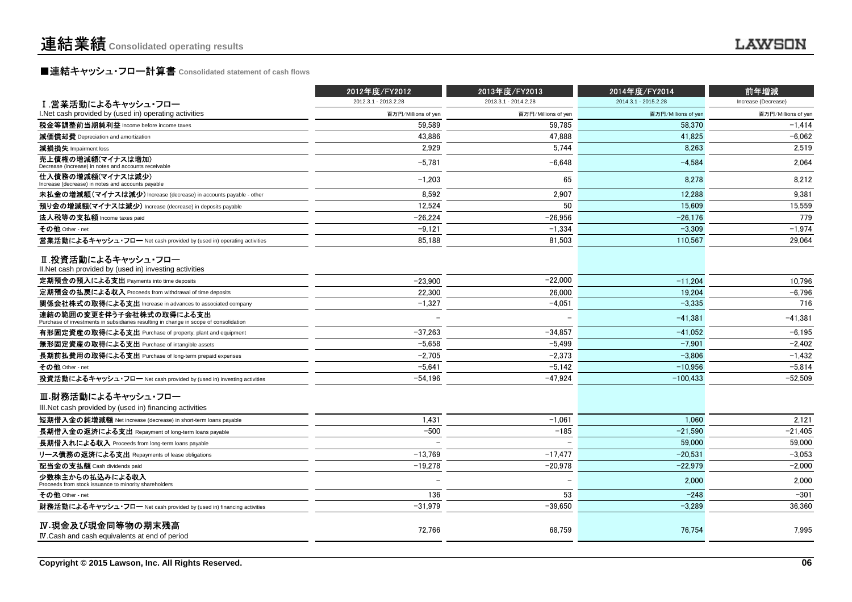## **■連結キャッシュ・フロー計算書** Consolidated statement of cash flows<br>■

|                                                                                                                   | 2012年度/FY2012            | 2013年度/FY2013        | 2014年度/FY2014        | 前年増減                |
|-------------------------------------------------------------------------------------------------------------------|--------------------------|----------------------|----------------------|---------------------|
| I.営業活動によるキャッシュ・フロー                                                                                                | 2012.3.1 - 2013.2.28     | 2013.3.1 - 2014.2.28 | 2014.3.1 - 2015.2.28 | Increase (Decrease) |
| I. Net cash provided by (used in) operating activities                                                            | 百万円/Millions of yen      | 百万円/Millions of yen  | 百万円/Millions of yer  | 百万円/Millions of yen |
| 税金等調整前当期純利益 Income before income taxes                                                                            | 59.589                   | 59.785               | 58.370               | $-1,414$            |
| 減価償却費 Depreciation and amortization                                                                               | 43.886                   | 47.888               | 41.825               | $-6.062$            |
| 減損損失 Impairment loss                                                                                              | 2,929                    | 5,744                | 8,263                | 2,519               |
| 売上債権の増減額(マイナスは増加)<br>Decrease (increase) in notes and accounts receivable                                         | $-5.781$                 | $-6,648$             | $-4.584$             | 2.064               |
| 仕入債務の増減額(マイナスは減少)<br>Increase (decrease) in notes and accounts payable                                            | $-1,203$                 | 65                   | 8,278                | 8,212               |
| 未払金の増減額(マイナスは減少) Increase (decrease) in accounts payable - other                                                  | 8,592                    | 2,907                | 12.288               | 9,381               |
| 預り金の増減額(マイナスは減少) Increase (decrease) in deposits payable                                                          | 12,524                   | 50                   | 15.609               | 15,559              |
| 法人税等の支払額 Income taxes paid                                                                                        | $-26,224$                | $-26,956$            | $-26,176$            | 779                 |
| その他 Other - net                                                                                                   | $-9,121$                 | $-1,334$             | $-3.309$             | $-1,974$            |
| 営業活動によるキャッシュ・フロー Net cash provided by (used in) operating activities                                              | 85.188                   | 81,503               | 110.567              | 29.064              |
| Ⅱ.投資活動によるキャッシュ・フロー<br>II. Net cash provided by (used in) investing activities                                     |                          |                      |                      |                     |
| 定期預金の預入による支出 Payments into time deposits                                                                          | $-23,900$                | $-22,000$            | $-11,204$            | 10,796              |
| 定期預金の払戻による収入 Proceeds from withdrawal of time deposits                                                            | 22,300                   | 26,000               | 19,204               | $-6,796$            |
| 関係会社株式の取得による支出 Increase in advances to associated company                                                         | $-1.327$                 | $-4,051$             | $-3.335$             | 716                 |
| 連結の範囲の変更を伴う子会社株式の取得による支出<br>Purchase of investments in subsidiaries resulting in change in scope of consolidation |                          |                      | $-41.381$            | $-41,381$           |
| 有形固定資産の取得による支出 Purchase of property, plant and equipment                                                          | $-37,263$                | $-34,857$            | $-41.052$            | $-6.195$            |
| 無形固定資産の取得による支出 Purchase of intangible assets                                                                      | $-5,658$                 | $-5,499$             | $-7,901$             | $-2,402$            |
| 長期前払費用の取得による支出 Purchase of long-term prepaid expenses                                                             | $-2,705$                 | $-2,373$             | $-3,806$             | $-1,432$            |
| その他 Other - net                                                                                                   | $-5.641$                 | $-5,142$             | $-10.956$            | $-5,814$            |
| 投資活動によるキャッシュ・フロー Net cash provided by (used in) investing activities                                              | $-54,196$                | $-47,924$            | $-100,433$           | $-52,509$           |
| Ⅲ.財務活動によるキャッシュ・フロー<br>III. Net cash provided by (used in) financing activities                                    |                          |                      |                      |                     |
| 短期借入金の純増減額 Net increase (decrease) in short-term loans payable                                                    | 1,431                    | $-1.061$             | 1.060                | 2,121               |
| 長期借入金の返済による支出 Repayment of long-term loans payable                                                                | $-500$                   | $-185$               | $-21.590$            | $-21.405$           |
| 長期借入れによる収入 Proceeds from long-term loans payable                                                                  |                          |                      | 59,000               | 59,000              |
| リース債務の返済による支出 Repayments of lease obligations                                                                     | $-13,769$                | $-17,477$            | $-20.531$            | $-3,053$            |
| 配当金の支払額 Cash dividends paid                                                                                       | $-19,278$                | $-20,978$            | $-22.979$            | $-2.000$            |
| 少数株主からの払込みによる収入<br>Proceeds from stock issuance to minority shareholders                                          | $\overline{\phantom{a}}$ |                      | 2,000                | 2,000               |
| その他 Other - net                                                                                                   | 136                      | 53                   | $-248$               | $-301$              |
| 財務活動によるキャッシュ・フロー Net cash provided by (used in) financing activities                                              | $-31.979$                | $-39.650$            | $-3.289$             | 36.360              |
| IV.現金及び現金同等物の期末残高<br>IV Cash and cash equivalents at end of period                                                | 72.766                   | 68.759               | 76.754               | 7.995               |
|                                                                                                                   |                          |                      |                      |                     |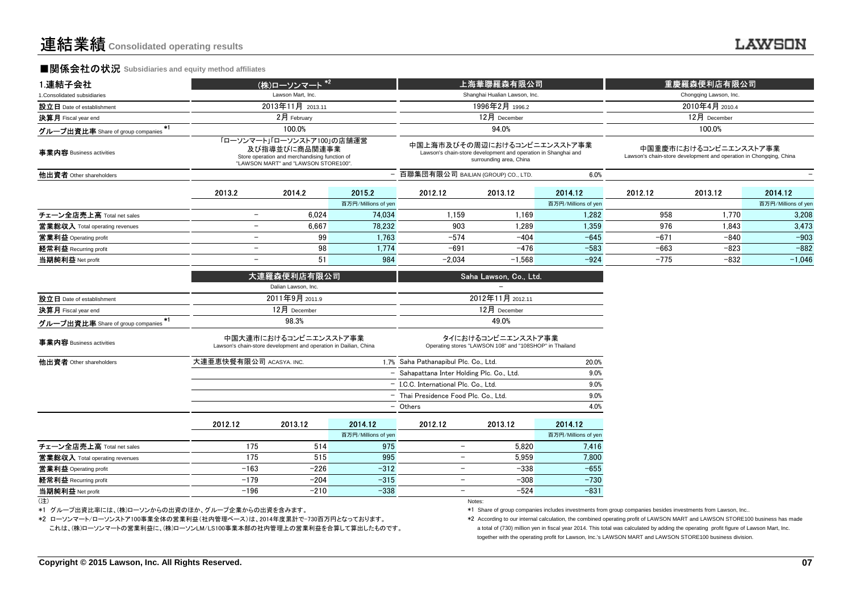### ■関係会社の状況 **Subsidiaries and equity method affiliates**

| 1.連結子会社                                                     | (株)ローソンマート <sup>*2</sup> |                                                                                                                                      |                     |                                       | 上海華聯羅森有限公司                                                                                                               |                     |                                                                                             | 重慶羅森便利店有限公司            |                     |  |
|-------------------------------------------------------------|--------------------------|--------------------------------------------------------------------------------------------------------------------------------------|---------------------|---------------------------------------|--------------------------------------------------------------------------------------------------------------------------|---------------------|---------------------------------------------------------------------------------------------|------------------------|---------------------|--|
| 1. Consolidated subsidiaries                                |                          | Lawson Mart, Inc.                                                                                                                    |                     |                                       | Shanghai Hualian Lawson, Inc.                                                                                            |                     |                                                                                             | Chongqing Lawson, Inc. |                     |  |
| 設立日 Date of establishment                                   |                          | 2013年11月 2013.11                                                                                                                     |                     |                                       | 1996年2月 1996.2                                                                                                           |                     | 2010年4月 2010.4                                                                              |                        |                     |  |
| 決算月 Fiscal year end                                         |                          | 2月 February                                                                                                                          |                     |                                       | 12月 December                                                                                                             |                     |                                                                                             | 12月 December           |                     |  |
| $*1$<br>グループ出資比率 Share of group companies                   |                          | 100.0%                                                                                                                               |                     |                                       | 94.0%                                                                                                                    |                     |                                                                                             | 100.0%                 |                     |  |
| 事業内容 Business activities                                    |                          | 「ローソンマート」「ローソンストア100」の店舗運営<br>及び指導並びに商品関連事業<br>Store operation and merchandising function of<br>"LAWSON MART" and "LAWSON STORE100". |                     |                                       | 中国上海市及びその周辺におけるコンビニエンスストア事業<br>Lawson's chain-store development and operation in Shanghai and<br>surrounding area, China |                     | 中国重慶市におけるコンビニエンスストア事業<br>Lawson's chain-store development and operation in Chongqing, China |                        |                     |  |
| 他出資者 Other shareholders                                     |                          |                                                                                                                                      |                     | - 百聯集団有限公司 BAILIAN (GROUP) CO., LTD.  |                                                                                                                          | 6.0%                |                                                                                             |                        |                     |  |
|                                                             | 2013.2                   | 2014.2                                                                                                                               | 2015.2              | 2012.12                               | 2013.12                                                                                                                  | 2014.12             | 2012.12                                                                                     | 2013.12                | 2014.12             |  |
|                                                             |                          |                                                                                                                                      | 百万円/Millions of yen |                                       |                                                                                                                          | 百万円/Millions of yen |                                                                                             |                        | 百万円/Millions of yen |  |
| チェーン全店売上高 Total net sales                                   | $\overline{\phantom{0}}$ | 6,024                                                                                                                                | 74,034              | 1,159                                 | 1,169                                                                                                                    | 1,282               | 958                                                                                         | 1,770                  | 3,208               |  |
| 営業総収入 Total operating revenues                              | $\overline{\phantom{0}}$ | 6.667                                                                                                                                | 78.232              | 903                                   | 1.289                                                                                                                    | 1.359               | 976                                                                                         | 1.843                  | 3,473               |  |
| 営業利益 Operating profit                                       | $\overline{\phantom{0}}$ | 99                                                                                                                                   | 1,763               | $-574$                                | $-404$                                                                                                                   | $-645$              | $-671$                                                                                      | $-840$                 | $-903$              |  |
| 経常利益 Recurring profit                                       | $\overline{\phantom{0}}$ | 98                                                                                                                                   | 1,774               | $-691$                                | $-476$                                                                                                                   | $-583$              | $-663$                                                                                      | $-823$                 | $-882$              |  |
| 当期純利益 Net profit                                            |                          | 51                                                                                                                                   | 984                 | $-2,034$                              | $-1,568$                                                                                                                 | $-924$              | $-775$                                                                                      | $-832$                 | $-1,046$            |  |
|                                                             |                          | 大連羅森便利店有限公司                                                                                                                          |                     |                                       | Saha Lawson, Co., Ltd.                                                                                                   |                     |                                                                                             |                        |                     |  |
|                                                             |                          | Dalian Lawson, Inc.                                                                                                                  |                     |                                       |                                                                                                                          |                     |                                                                                             |                        |                     |  |
| 設立日 Date of establishment                                   | 2011年9月 2011.9           |                                                                                                                                      |                     |                                       | 2012年11月 2012.11                                                                                                         |                     |                                                                                             |                        |                     |  |
| 決算月 Fiscal year end                                         |                          | 12月 December                                                                                                                         |                     |                                       | 12月 December                                                                                                             |                     |                                                                                             |                        |                     |  |
| *1<br>グループ出資比率 Share of group companies                     |                          | 98.3%                                                                                                                                |                     |                                       | 49.0%                                                                                                                    |                     |                                                                                             |                        |                     |  |
| 事業内容 Business activities                                    |                          | 中国大連市におけるコンビニエンスストア事業<br>Lawson's chain-store development and operation in Dailian, China                                            |                     |                                       | タイにおけるコンビニエンスストア事業<br>Operating stores "LAWSON 108" and "108SHOP" in Thailand                                            |                     |                                                                                             |                        |                     |  |
| 他出資者 Other shareholders                                     | 大連亜恵快餐有限公司 ACASYA. INC.  |                                                                                                                                      |                     | 1.7% Saha Pathanapibul Plc. Co., Ltd. |                                                                                                                          | 20.0%               |                                                                                             |                        |                     |  |
|                                                             |                          |                                                                                                                                      |                     |                                       | 9.0%<br>- Sahapattana Inter Holding Plc. Co., Ltd.                                                                       |                     |                                                                                             |                        |                     |  |
|                                                             |                          |                                                                                                                                      |                     | - I.C.C. International Plc. Co., Ltd. |                                                                                                                          | 9.0%                |                                                                                             |                        |                     |  |
|                                                             |                          |                                                                                                                                      |                     |                                       | 9.0%<br>- Thai Presidence Food Plc. Co., Ltd.                                                                            |                     |                                                                                             |                        |                     |  |
|                                                             |                          |                                                                                                                                      |                     | - Others                              |                                                                                                                          | 4.0%                |                                                                                             |                        |                     |  |
|                                                             | 2012.12                  | 2013.12                                                                                                                              | 2014.12             | 2012.12                               | 2013.12                                                                                                                  | 2014.12             |                                                                                             |                        |                     |  |
|                                                             |                          |                                                                                                                                      | 百万円/Millions of yen |                                       |                                                                                                                          | 百万円/Millions of yen |                                                                                             |                        |                     |  |
| チェーン全店売上高 Total net sales<br>営業総収入 Total operating revenues | 175<br>175               | 514<br>515                                                                                                                           | 975<br>995          | $-$<br>$\overline{\phantom{a}}$       | 5,820<br>5,959                                                                                                           | 7,416<br>7,800      |                                                                                             |                        |                     |  |
| 営業利益 Operating profit                                       | $-163$                   | $-226$                                                                                                                               | $-312$              | $\overline{\phantom{a}}$              | $-338$                                                                                                                   | $-655$              |                                                                                             |                        |                     |  |
| 経常利益 Recurring profit                                       | $-179$                   | $-204$                                                                                                                               | $-315$              | $\overline{\phantom{a}}$              | $-308$                                                                                                                   | $-730$              |                                                                                             |                        |                     |  |
| 当期純利益 Net profit                                            | $-196$                   | $-210$                                                                                                                               | $-338$              | $\overline{\phantom{0}}$              | $-524$                                                                                                                   | $-831$              |                                                                                             |                        |                     |  |
| (注)                                                         |                          |                                                                                                                                      |                     |                                       | Notes:                                                                                                                   |                     |                                                                                             |                        |                     |  |
|                                                             |                          |                                                                                                                                      |                     |                                       |                                                                                                                          |                     |                                                                                             |                        |                     |  |

(注)

\*1 グループ出資比率には、(株)ローソンからの出資のほか、グループ企業からの出資を含みます。

\*2 ローソンマート/ローソンストア100事業全体の営業利益(社内管理ベース)は、2014年度累計で-730百万円となっております。

これは、(株)ローソンマートの営業利益に、(株)ローソンLM/LS100事業本部の社内管理上の営業利益を合算して算出したものです。

\*1 Share of group companies includes investments from group companies besides investments from Lawson, Inc..

together with the operating profit for Lawson, Inc.'s LAWSON MART and LAWSON STORE100 business division.\*2 According to our internal calculation, the combined operating profit of LAWSON MART and LAWSON STORE100 business has made a total of (730) million yen in fiscal year 2014. This total was calculated by adding the operating profit figure of Lawson Mart, Inc.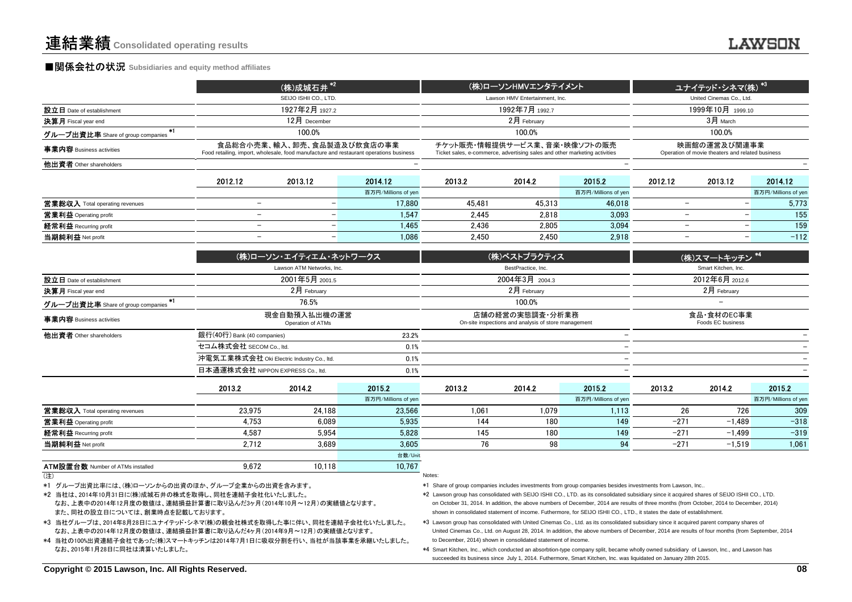|                                   |                                                                                                                      | (株)成城石井 $*$ <sup>2</sup> |                     |                                                                                                            | (株)ローソンHMVエンタテイメント             |                     | ユナイテッド・ <u>シネマ(株) *3</u>                                         |                          |                     |  |
|-----------------------------------|----------------------------------------------------------------------------------------------------------------------|--------------------------|---------------------|------------------------------------------------------------------------------------------------------------|--------------------------------|---------------------|------------------------------------------------------------------|--------------------------|---------------------|--|
|                                   |                                                                                                                      | SEIJO ISHII CO., LTD.    |                     |                                                                                                            | Lawson HMV Entertainment. Inc. |                     |                                                                  | United Cinemas Co., Ltd. |                     |  |
| 設立日 Date of establishment         |                                                                                                                      | 1927年2月 1927.2           |                     |                                                                                                            | 1992年7月 1992.7                 |                     |                                                                  | 1999年10月 1999.10         |                     |  |
| 決算月 Fiscal year end               |                                                                                                                      | $12月$ December           |                     |                                                                                                            | $2$ 月 Februarv                 |                     | $3月$ March                                                       |                          |                     |  |
| グループ出資比率 Share of group companies |                                                                                                                      | 100.0%                   |                     |                                                                                                            | 100.0%                         |                     |                                                                  | 100.0%                   |                     |  |
| 事業内容 Business activities          | 食品総合小売業、輸入、卸売、食品製造及び飲食店の事業<br>Food retailing, import, wholesale, food manufacture and restaurant operations business |                          |                     | チケット販売・情報提供サービス業、音楽・映像ソフトの販売<br>Ticket sales, e-commerce, advertising sales and other marketing activities |                                |                     | 映画館の運営及び関連事業<br>Operation of movie theaters and related business |                          |                     |  |
| 他出資者 Other shareholders           |                                                                                                                      |                          |                     |                                                                                                            |                                |                     |                                                                  |                          |                     |  |
|                                   | 2012.12                                                                                                              | 2013.12                  | 2014.12             | 2013.2                                                                                                     | 2014.2                         | 2015.2              | 2012.12                                                          | 2013.12                  | 2014.12             |  |
|                                   |                                                                                                                      |                          | 百万円/Millions of yen |                                                                                                            |                                | 百万円/Millions of yen |                                                                  |                          | 百万円/Millions of yen |  |
| 営業総収入 Total operating revenues    | -                                                                                                                    |                          | 17.880              | 45.481                                                                                                     | 45.313                         | 46.018              |                                                                  |                          | 5.773               |  |
| 営業利益 Operating profit             |                                                                                                                      |                          | 1.547               | 2.445                                                                                                      | 2.818                          | 3.093               |                                                                  |                          | 155                 |  |
| 経常利益 Recurring profit             | -                                                                                                                    |                          | 1.465<br>-          | 2.436                                                                                                      | 2.805                          | 3.094               |                                                                  |                          | 159                 |  |
| 当期純利益 Net profit                  | $\overline{\phantom{0}}$                                                                                             |                          | 1.086<br>-          | 2.450                                                                                                      | 2.450                          | 2.918               |                                                                  |                          | $-112$              |  |
|                                   |                                                                                                                      |                          |                     |                                                                                                            |                                |                     |                                                                  |                          |                     |  |

|                                                        | (株)ローソン・エイティエム・ネッ <u>トワークス</u>                                            |       | (株)ベストプラクティス                                                            | (株)スマートキッチン *4                  |
|--------------------------------------------------------|---------------------------------------------------------------------------|-------|-------------------------------------------------------------------------|---------------------------------|
|                                                        | Lawson ATM Networks, Inc.                                                 |       | BestPractice, Inc.                                                      | Smart Kitchen, Inc.             |
| 設立日 Date of establishment                              | 2001年5月 2001.5                                                            |       | 2004年3月 2004.3                                                          | 2012年6月 2012.6                  |
| <b>決算月</b> Fiscal year end                             | $2$ 月 February                                                            |       | $2月$ February                                                           | $2月$ February                   |
| <u>グループ出資比率</u> Share of group companies <sup>*1</sup> | 76.5%<br>現金自動預入払出機の運営<br>Operation of ATMs<br>銀行(40行) Bank (40 companies) |       | 100.0%                                                                  | $\overline{\phantom{0}}$        |
| 事業内容 Business activities                               |                                                                           |       | 店舗の経営の実態調査・分析業務<br>On-site inspections and analysis of store management | 食品・食材のEC事業<br>Foods EC business |
| 他出資者 Other shareholders                                |                                                                           | 23.2% |                                                                         |                                 |
|                                                        | セコム株式会社 SECOM Co., ltd.                                                   | 0.1%  |                                                                         |                                 |
|                                                        | 沖電気工業株式会社 Oki Electric Industry Co., ltd.                                 | 0.1%  | -                                                                       |                                 |
|                                                        | 日本通運株式会社 NIPPON EXPRESS Co., ltd.                                         | 0.1%  |                                                                         |                                 |

|                                | 2013.2 | 2014.2 | 2015.2              | 2013.2 | 2014.2 | 2015.2              | 2013.2 | 2014.2   | 2015.2              |
|--------------------------------|--------|--------|---------------------|--------|--------|---------------------|--------|----------|---------------------|
|                                |        |        | 百万円/Millions of yen |        |        | 百万円/Millions of yen |        |          | 百万円/Millions of yen |
| 営業総収入 Total operating revenues | 23.975 | 24.188 | 23.566              | 1.061  | 1.079  | 1.113               | 26     | 726      | 309                 |
| 営業利益 Operating profit          | 4.753  | 6.089  | 5.935               | 144    | 180    | 149                 | $-271$ | $-1.489$ | $-318$              |
| 経常利益 Recurring profit          | 4.587  | 5.954  | 5,828               | 145    | 180    | 149                 | $-271$ | $-1.499$ | $-319$              |
| 当期純利益 Net profit               | 2.712  | 3.689  | 3.605               | 76     | 98     |                     | $-271$ | $-1.519$ | 1,061               |
|                                |        |        | 台数/Unit             |        |        |                     |        |          |                     |

数 Number of ATMs installed  $\frac{9,672}{10,118}$   $\frac{10,767}{1000}$ 

ATM設置台数 Number of ATMs installed (注)Notes:

\*1 グループ出資比率には、(株)ローソンからの出資のほか、グループ企業からの出資を含みます。

\*2 当社は、2014年10月31日に(株)成城石井の株式を取得し、同社を連結子会社化いたしました。

 なお、上表中の2014年12月度の数値は、連結損益計算書に取り込んだ3ヶ月(2014年10月~12月)の実績値となります。また、同社の設立日については、創業時点を記載しております。

\*3 当社グループは、2014年8月28日にユナイテッド・シネマ(株)の親会社株式を取得した事に伴い、同社を連結子会社化いたしました。 なお、上表中の2014年12月度の数値は、連結損益計算書に取り込んだ4ヶ月(2014年9月~12月)の実績値となります。

\*4 当社の100%出資連結子会社であった(株)スマートキッチンは2014年7月1日に吸収分割を行い、当社が当該事業を承継いたしました。なお、2015年1月28日に同社は清算いたしました。

\*1 Share of group companies includes investments from group companies besides investments from Lawson, Inc..

\*2 Lawson group has consolidated with SEIJO ISHII CO., LTD. as its consolidated subsidiary since it acquired shares of SEIJO ISHII CO., LTD. on October 31, 2014. In addition, the above numbers of December, 2014 are results of three months (from October, 2014 to December, 2014)shown in consolidated statement of income. Futhermore, for SEIJO ISHII CO., LTD., it states the date of establishment.

 \*3 Lawson group has consolidated with United Cinemas Co., Ltd. as its consolidated subsidiary since it acquired parent company shares of United Cinemas Co., Ltd. on August 28, 2014. In addition, the above numbers of December, 2014 are results of four months (from September, 2014 to December, 2014) shown in consolidated statement of income.

 \*4 Smart Kitchen, Inc., which conducted an absorbtion-type company split, became wholly owned subsidiary of Lawson, Inc., and Lawson has succeeded its business since July 1, 2014. Futhermore, Smart Kitchen, Inc. was liquidated on January 28th 2015.

#### **Copyright © 2015 Lawson, Inc. All Rights Reserved.**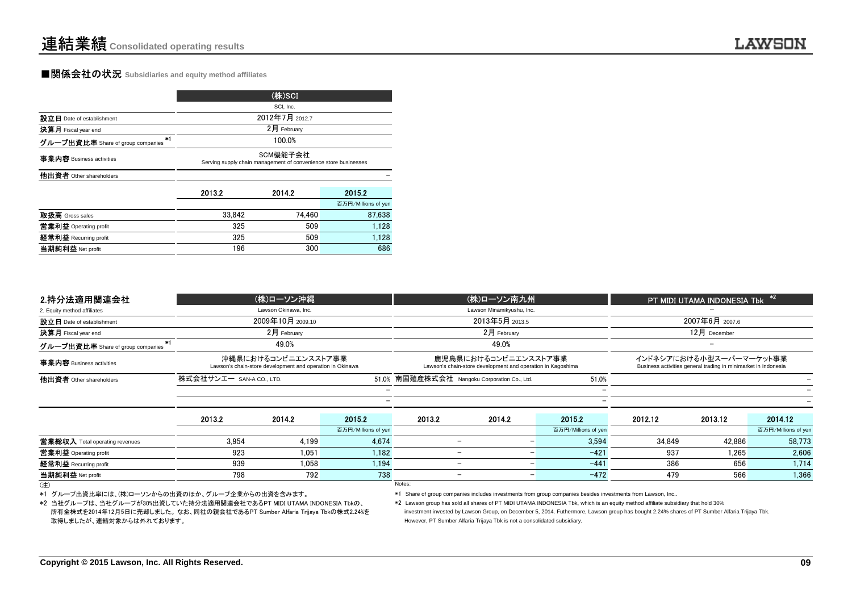### ■関係会社の状況 **Subsidiaries and equity method affiliates**

|                                           |                                                                             | (株)SCI         |                     |  |  |  |  |
|-------------------------------------------|-----------------------------------------------------------------------------|----------------|---------------------|--|--|--|--|
|                                           |                                                                             | SCI, Inc.      |                     |  |  |  |  |
| 設立日 Date of establishment                 |                                                                             | 2012年7月 2012.7 |                     |  |  |  |  |
| 決算月 Fiscal year end                       | $2月$ February                                                               |                |                     |  |  |  |  |
| $*1$<br>グループ出資比率 Share of group companies |                                                                             | 100.0%         |                     |  |  |  |  |
| 事業内容 Business activities                  | SCM機能子会社<br>Serving supply chain management of convenience store businesses |                |                     |  |  |  |  |
| 他出資者 Other shareholders                   |                                                                             |                |                     |  |  |  |  |
|                                           | 2013.2                                                                      | 2014.2         | 2015.2              |  |  |  |  |
|                                           |                                                                             |                | 百万円/Millions of yen |  |  |  |  |
| 取扱高 Gross sales                           | 33.842                                                                      | 74.460         | 87.638              |  |  |  |  |
| 営業利益 Operating profit                     | 325                                                                         | 509            | 1.128               |  |  |  |  |
| 経常利益 Recurring profit                     | 325                                                                         | 509            | 1,128               |  |  |  |  |
| 当期純利益 Net profit                          | 196                                                                         | 300            | 686                 |  |  |  |  |

| 2.持分法適用関連会社                                                                |                          | (株)ローソン沖縄                                                                        |                     |                                              | (株)ローソン南九州                                                                          |                                                                                                                                              |         | PT MIDI UTAMA INDONESIA Tbk                                                               | $\ast$              |
|----------------------------------------------------------------------------|--------------------------|----------------------------------------------------------------------------------|---------------------|----------------------------------------------|-------------------------------------------------------------------------------------|----------------------------------------------------------------------------------------------------------------------------------------------|---------|-------------------------------------------------------------------------------------------|---------------------|
| 2. Equity method affiliates                                                |                          | Lawson Okinawa, Inc.                                                             |                     |                                              | Lawson Minamikyushu, Inc.                                                           |                                                                                                                                              |         |                                                                                           |                     |
| 設立日 Date of establishment                                                  |                          | 2009年10月 2009.10                                                                 |                     |                                              | 2013年5月 2013.5                                                                      |                                                                                                                                              |         | 2007年6月 2007.6                                                                            |                     |
| 決算月 Fiscal year end                                                        |                          | $2$ 月 February                                                                   |                     |                                              | $2月$ February                                                                       |                                                                                                                                              |         | $12月$ December                                                                            |                     |
| グループ出資比率 Share of group companies                                          |                          | 49.0%                                                                            |                     |                                              | 49.0%                                                                               |                                                                                                                                              |         |                                                                                           |                     |
| 事業内容 Business activities                                                   |                          | 沖縄県におけるコンビニエンスストア事業<br>Lawson's chain-store development and operation in Okinawa |                     |                                              | 鹿児島県におけるコンビニエンスストア事業<br>Lawson's chain-store development and operation in Kagoshima |                                                                                                                                              |         | インドネシアにおける小型スーパーマーケット事業<br>Business activities general trading in minimarket in Indonesia |                     |
| 他出資者 Other shareholders                                                    | 株式会社サンエー SAN-A CO., LTD. |                                                                                  |                     | 51.0% 南国殖産株式会社 Nangoku Corporation Co., Ltd. |                                                                                     | 51.0%                                                                                                                                        |         |                                                                                           |                     |
|                                                                            |                          |                                                                                  |                     |                                              |                                                                                     |                                                                                                                                              |         |                                                                                           |                     |
|                                                                            |                          |                                                                                  |                     |                                              |                                                                                     |                                                                                                                                              |         |                                                                                           |                     |
|                                                                            | 2013.2                   | 2014.2                                                                           | 2015.2              | 2013.2                                       | 2014.2                                                                              | 2015.2                                                                                                                                       | 2012.12 | 2013.12                                                                                   | 2014.12             |
|                                                                            |                          |                                                                                  | 百万円/Millions of yen |                                              |                                                                                     | 百万円/Millions of yen                                                                                                                          |         |                                                                                           | 百万円/Millions of yen |
| 営業総収入 Total operating revenues                                             | 3.954                    | 4.199                                                                            | 4.674               | $\overline{\phantom{0}}$                     |                                                                                     | 3.594                                                                                                                                        | 34.849  | 42.886                                                                                    | 58.773              |
| 営業利益 Operating profit                                                      | 923                      | 1,051                                                                            | 1,182               | $\overline{\phantom{0}}$                     |                                                                                     | $-421$                                                                                                                                       | 937     | 1,265                                                                                     | 2,606               |
| 経常利益 Recurring profit                                                      | 939                      | 1.058                                                                            | 1.194               | $\equiv$                                     |                                                                                     | $-441$                                                                                                                                       | 386     | 656                                                                                       | 1.714               |
| 当期純利益 Net profit                                                           | 798                      | 792                                                                              | 738                 |                                              |                                                                                     | $-472$                                                                                                                                       | 479     | 566                                                                                       | 1.366               |
| (注)                                                                        |                          |                                                                                  |                     | Notes:                                       |                                                                                     |                                                                                                                                              |         |                                                                                           |                     |
| *1 グループ出資比率には、(株)ローソンからの出資のほか、グループ企業からの出資を含みます。                            |                          |                                                                                  |                     |                                              |                                                                                     | *1 Share of group companies includes investments from group companies besides investments from Lawson, Inc                                   |         |                                                                                           |                     |
| *2 当社グループは、当社グループが30%出資していた持分法適用関連会社であるPT MIDI UTAMA INDONESIA Tbkの、       |                          |                                                                                  |                     |                                              |                                                                                     | *2 Lawson group has sold all shares of PT MIDI UTAMA INDONESIA Tbk, which is an equity method affiliate subsidiary that hold 30%             |         |                                                                                           |                     |
| 所有全株式を2014年12月5日に売却しました。なお、同社の親会社であるPT Sumber Alfaria Trijaya Tbkの株式2.24%を |                          |                                                                                  |                     |                                              |                                                                                     | investment invested by Lawson Group, on December 5, 2014. Futhermore, Lawson group has bought 2.24% shares of PT Sumber Alfaria Trijaya Tbk. |         |                                                                                           |                     |

<sup>(</sup>注)examples: the contract of the contract of the contract of the contract of the contract of the contract of the contract of the contract of the contract of the contract of the contract of the contract of the contract of the

\*2 当社グループは、当社グループが30%出資していた持分法適用関連会社であるPT MIDI UTAMA INDONESIA Tbkの、 所有全株式を2014年12月5日に売却しました。 なお、同社の親会社であるPT Sumber Alfaria Trijaya Tbkの株式2.24%を取得しましたが、連結対象からは外れております。

 However, PT Sumber Alfaria Trijaya Tbk is not a consolidated subsidiary. investment invested by Lawson Group, on December 5, 2014. Futhermore, Lawson group has bought 2.24% shares of PT Sumber Alfaria Trijaya Tbk.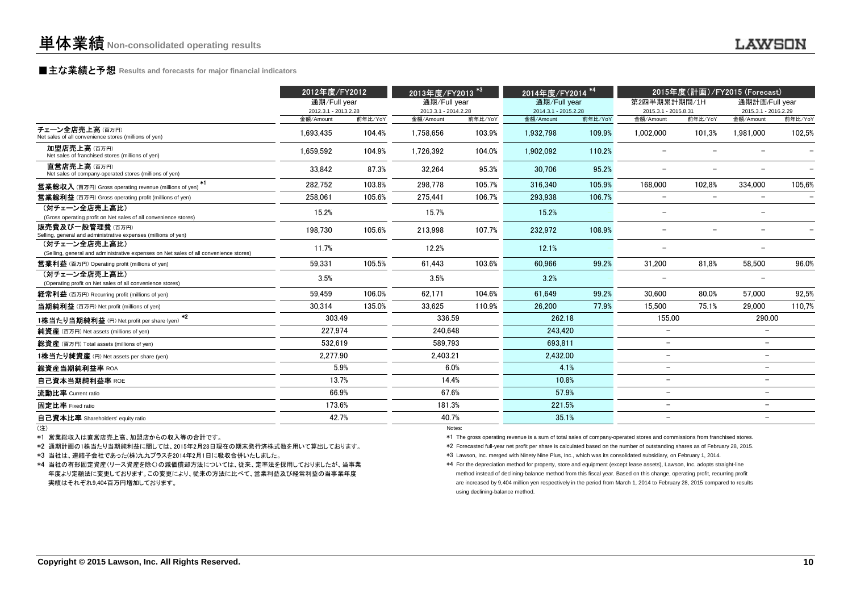### **■主な業績と予想** Results and forecasts for major financial indicators<br>
————————————————————

| 通期計画/Full year<br>2015.3.1 - 2016.2.29<br>前年比/YoY<br>金額/Amount<br>102,5%<br>1,981,000<br>$\qquad \qquad -$<br>334.000<br>105.6%                                                                                                                                                                                                                                                                                                                                                                                                                                                                                                                    |
|----------------------------------------------------------------------------------------------------------------------------------------------------------------------------------------------------------------------------------------------------------------------------------------------------------------------------------------------------------------------------------------------------------------------------------------------------------------------------------------------------------------------------------------------------------------------------------------------------------------------------------------------------|
|                                                                                                                                                                                                                                                                                                                                                                                                                                                                                                                                                                                                                                                    |
|                                                                                                                                                                                                                                                                                                                                                                                                                                                                                                                                                                                                                                                    |
|                                                                                                                                                                                                                                                                                                                                                                                                                                                                                                                                                                                                                                                    |
|                                                                                                                                                                                                                                                                                                                                                                                                                                                                                                                                                                                                                                                    |
|                                                                                                                                                                                                                                                                                                                                                                                                                                                                                                                                                                                                                                                    |
|                                                                                                                                                                                                                                                                                                                                                                                                                                                                                                                                                                                                                                                    |
| $\overline{a}$                                                                                                                                                                                                                                                                                                                                                                                                                                                                                                                                                                                                                                     |
| $\overline{\phantom{a}}$                                                                                                                                                                                                                                                                                                                                                                                                                                                                                                                                                                                                                           |
| $\overline{\phantom{a}}$                                                                                                                                                                                                                                                                                                                                                                                                                                                                                                                                                                                                                           |
| $\overline{\phantom{0}}$                                                                                                                                                                                                                                                                                                                                                                                                                                                                                                                                                                                                                           |
| 58.500<br>96.0%                                                                                                                                                                                                                                                                                                                                                                                                                                                                                                                                                                                                                                    |
| $\overline{\phantom{a}}$                                                                                                                                                                                                                                                                                                                                                                                                                                                                                                                                                                                                                           |
| 92,5%<br>57.000                                                                                                                                                                                                                                                                                                                                                                                                                                                                                                                                                                                                                                    |
| 110,7%<br>29.000                                                                                                                                                                                                                                                                                                                                                                                                                                                                                                                                                                                                                                   |
| 290.00                                                                                                                                                                                                                                                                                                                                                                                                                                                                                                                                                                                                                                             |
| $\overline{\phantom{a}}$                                                                                                                                                                                                                                                                                                                                                                                                                                                                                                                                                                                                                           |
| $\overline{\phantom{0}}$                                                                                                                                                                                                                                                                                                                                                                                                                                                                                                                                                                                                                           |
| $\overline{\phantom{0}}$                                                                                                                                                                                                                                                                                                                                                                                                                                                                                                                                                                                                                           |
| $\overline{\phantom{a}}$                                                                                                                                                                                                                                                                                                                                                                                                                                                                                                                                                                                                                           |
| $\overline{\phantom{0}}$                                                                                                                                                                                                                                                                                                                                                                                                                                                                                                                                                                                                                           |
| $\overline{\phantom{0}}$                                                                                                                                                                                                                                                                                                                                                                                                                                                                                                                                                                                                                           |
| $\overline{\phantom{0}}$                                                                                                                                                                                                                                                                                                                                                                                                                                                                                                                                                                                                                           |
| $\overline{\phantom{0}}$                                                                                                                                                                                                                                                                                                                                                                                                                                                                                                                                                                                                                           |
| *1 The gross operating revenue is a sum of total sales of company-operated stores and commissions from franchised stores.<br>*2 Forecasted full-year net profit per share is calculated based on the number of outstanding shares as of February 28, 2015.<br>*4 For the depreciation method for property, store and equipment (except lease assets), Lawson, Inc. adopts straight-line<br>method instead of declining-balance method from this fiscal year. Based on this change, operating profit, recurring profit<br>are increased by 9,404 million yen respectively in the period from March 1, 2014 to February 28, 2015 compared to results |
|                                                                                                                                                                                                                                                                                                                                                                                                                                                                                                                                                                                                                                                    |

(注)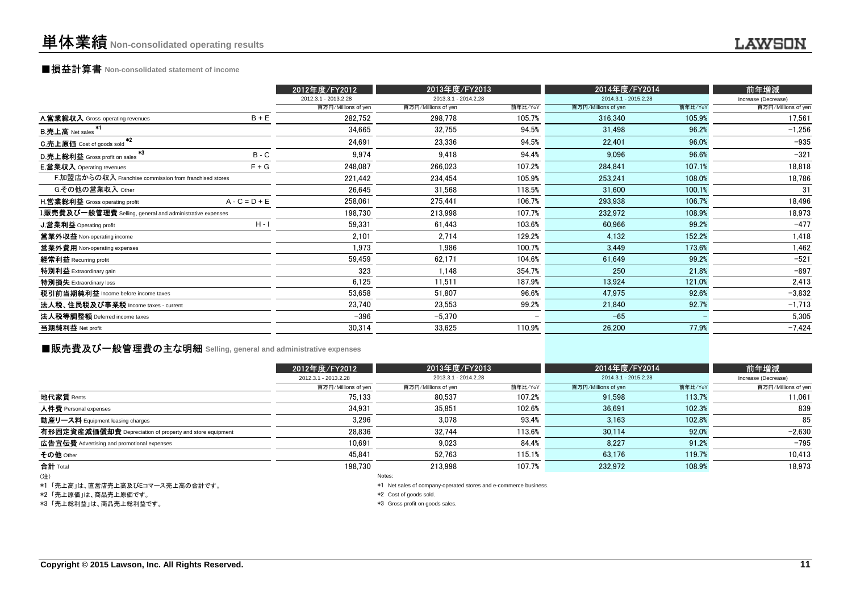## ■損益計算書 **Non-consolidated statement of income**

|                                                           |                 | 2012年度/FY2012        | 2013年度/FY2013        |                          | 2014年度/FY2014        |         | 前年増減                |
|-----------------------------------------------------------|-----------------|----------------------|----------------------|--------------------------|----------------------|---------|---------------------|
|                                                           |                 | 2012.3.1 - 2013.2.28 | 2013.3.1 - 2014.2.28 |                          | 2014.3.1 - 2015.2.28 |         | Increase (Decrease) |
|                                                           |                 | 百万円/Millions of yen  | 百万円/Millions of yen  | 前年比/YoY                  | 百万円/Millions of yen  | 前年比/YoY | 百万円/Millions of yen |
| A.営業総収入 Gross operating revenues                          | $B + E$         | 282,752              | 298,778              | 105.7%                   | 316,340              | 105.9%  | 17,561              |
| B.売上高 Net sales <sup>*1</sup>                             |                 | 34.665               | 32,755               | 94.5%                    | 31,498               | 96.2%   | $-1.256$            |
| $*2$<br>C.売上原価 Cost of goods sold                         |                 | 24,691               | 23,336               | 94.5%                    | 22.401               | 96.0%   | $-935$              |
| *3<br>D.売上総利益 Gross profit on sales                       | $B - C$         | 9,974                | 9,418                | 94.4%                    | 9.096                | 96.6%   | $-321$              |
| <b>E.営業収入</b> Operating revenues                          | $F + G$         | 248,087              | 266,023              | 107.2%                   | 284,841              | 107.1%  | 18,818              |
| F.加盟店からの収入 Franchise commission from franchised stores    |                 | 221.442              | 234.454              | 105.9%                   | 253.241              | 108.0%  | 18.786              |
| G.その他の営業収入 Other                                          |                 | 26,645               | 31,568               | 118.5%                   | 31,600               | 100.1%  | 31                  |
| H.営業総利益 Gross operating profit                            | $A - C = D + E$ | 258,061              | 275,441              | 106.7%                   | 293,938              | 106.7%  | 18,496              |
| I.販売費及び一般管理費 Selling, general and administrative expenses |                 | 198,730              | 213,998              | 107.7%                   | 232,972              | 108.9%  | 18,973              |
| <b>J.営業利益 Operating profit</b>                            | $H - I$         | 59,331               | 61,443               | 103.6%                   | 60,966               | 99.2%   | $-477$              |
| 営業外収益 Non-operating income                                |                 | 2,101                | 2,714                | 129.2%                   | 4,132                | 152.2%  | 1,418               |
| 営業外費用 Non-operating expenses                              |                 | 1,973                | 1,986                | 100.7%                   | 3,449                | 173.6%  | 1,462               |
| 経常利益 Recurring profit                                     |                 | 59,459               | 62,171               | 104.6%                   | 61,649               | 99.2%   | $-521$              |
| 特別利益 Extraordinary gain                                   |                 | 323                  | 1,148                | 354.7%                   | 250                  | 21.8%   | $-897$              |
| 特別損失 Extraordinary loss                                   |                 | 6,125                | 11,511               | 187.9%                   | 13,924               | 121.0%  | 2,413               |
| 税引前当期純利益 Income before income taxes                       |                 | 53,658               | 51,807               | 96.6%                    | 47,975               | 92.6%   | $-3,832$            |
| 法人税、住民税及び事業税 Income taxes - current                       |                 | 23,740               | 23,553               | 99.2%                    | 21,840               | 92.7%   | $-1,713$            |
| 法人税等調整額 Deferred income taxes                             |                 | $-396$               | $-5,370$             | $\overline{\phantom{0}}$ | $-65$                |         | 5,305               |
| 当期純利益 Net profit                                          |                 | 30,314               | 33,625               | 110.9%                   | 26,200               | 77.9%   | $-7,424$            |
|                                                           |                 |                      |                      |                          |                      |         |                     |

### **■販売費及び一般管理費の主な明細** Selling, general and administrative expenses

|                                                          | 2012年度/FY2012        | 2013年度/FY2013        |         |                      |         | 前年増減                |
|----------------------------------------------------------|----------------------|----------------------|---------|----------------------|---------|---------------------|
|                                                          | 2012.3.1 - 2013.2.28 | 2013.3.1 - 2014.2.28 |         | 2014.3.1 - 2015.2.28 |         | Increase (Decrease) |
|                                                          | 百万円/Millions of yen  | 百万円/Millions of yen  | 前年比/YoY | 百万円/Millions of yen  | 前年比/YoY | 百万円/Millions of yen |
| 地代家賃 Rents                                               | 75.133               | 80.537               | 107.2%  | 91.598               | 113.7%  | 11,061              |
| 人件費 Personal expenses                                    | 34.931               | 35.851               | 102.6%  | 36.691               | 102.3%  | 839                 |
| 動産リース料 Equipment leasing charges                         | 3,296                | 3.078                | 93.4%   | 3.163                | 102.8%  | 85                  |
| 有形固定資産減価償却費 Depreciation of property and store equipment | 28,836               | 32.744               | 113.6%  | 30.114               | 92.0%   | $-2.630$            |
| 広告宣伝費 Advertising and promotional expenses               | 10.691               | 9.023                | 84.4%   | 8.227                | 91.2%   | $-795$              |
| その他 Other                                                | 45.841               | 52.763               | 115.1%  | 63.176               | 119.7%  | 10,413              |
| 合計 Total                                                 | 198.730              | 213.998              | 107.7%  | 232.972              | 108.9%  | 18,973              |
| (注)                                                      |                      | Notes:               |         |                      |         |                     |

(注)

\*1 「売上高」は、直営店売上高及びEコマース売上高の合計です。

\*2 「売上原価」は、商品売上原価です。

\*3 「売上総利益」は、商品売上総利益です。

Notes:

\*1 Net sales of company-operated stores and e-commerce business.

\*2 Cost of goods sold.

\*3 Gross profit on goods sales.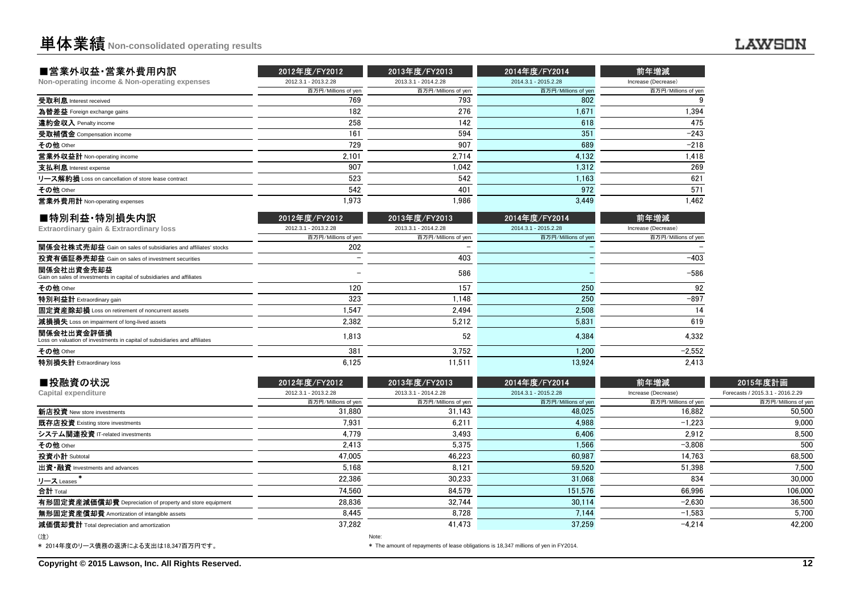| ■営業外収益·営業外費用内訳                                                                           | 2012年度/FY2012        | 2013年度/FY2013        | 2014年度/FY2014        | 前年増減                |
|------------------------------------------------------------------------------------------|----------------------|----------------------|----------------------|---------------------|
| Non-operating income & Non-operating expenses                                            | 2012.3.1 - 2013.2.28 | 2013.3.1 - 2014.2.28 | 2014.3.1 - 2015.2.28 | Increase (Decrease) |
|                                                                                          | 百万円/Millions of yen  | 百万円/Millions of yen  | 百万円/Millions of yen  | 百万円/Millions of yen |
| 受取利息 Interest received                                                                   | 769                  | 793                  | 802                  | 9                   |
| 為替差益 Foreign exchange gains                                                              | 182                  | 276                  | 1.671                | 1.394               |
| 違約金収入 Penalty income                                                                     | 258                  | 142                  | 618                  | 475                 |
| 受取補償金 Compensation income                                                                | 161                  | 594                  | 351                  | $-243$              |
| その他 Other                                                                                | 729                  | 907                  | 689                  | $-218$              |
| 営業外収益計 Non-operating income                                                              | 2.101                | 2,714                | 4,132                | 1,418               |
| 支払利息 Interest expense                                                                    | 907                  | 1.042                | 1.312                | 269                 |
| リース解約損 Loss on cancellation of store lease contract                                      | 523                  | 542                  | 1.163                | 621                 |
| その他 Other                                                                                | 542                  | 401                  | 972                  | 571                 |
| 営業外費用計 Non-operating expenses                                                            | 1.973                | 1.986                | 3.449                | 1,462               |
| ■特別利益·特別損失内訳                                                                             | 2012年度/FY2012        | 2013年度/FY2013        | 2014年度/FY2014        | 前年増減                |
| Extraordinary gain & Extraordinary loss                                                  | 2012.3.1 - 2013.2.28 | 2013.3.1 - 2014.2.28 | 2014.3.1 - 2015.2.28 | Increase (Decrease) |
|                                                                                          | 百万円/Millions of yen  | 百万円/Millions of yen  | 百万円/Millions of yen  | 百万円/Millions of yen |
| 関係会社株式売却益 Gain on sales of subsidiaries and affiliates' stocks                           | 202                  |                      |                      |                     |
| 投資有価証券売却益 Gain on sales of investment securities                                         |                      | 403                  |                      | $-403$              |
| 関係会社出資金売却益<br>Gain on sales of investments in capital of subsidiaries and affiliates     |                      | 586                  |                      | $-586$              |
| その他 Other                                                                                | 120                  | 157                  | 250                  | 92                  |
| 特別利益計 Extraordinary gain                                                                 | 323                  | 1.148                | 250                  | $-897$              |
| 固定資産除却損 Loss on retirement of noncurrent assets                                          | 1.547                | 2.494                | 2.508                | 14                  |
| 減損損失 Loss on impairment of long-lived assets                                             | 2,382                | 5,212                | 5.831                | 619                 |
| 関係会社出資金評価損<br>Loss on valuation of investments in capital of subsidiaries and affiliates | 1.813                | 52                   | 4.384                | 4.332               |
| その他 Other                                                                                | 381                  | 3,752                | 1.200                | $-2,552$            |
| 特別損失計 Extraordinary loss                                                                 | 6.125                | 11.511               | 13.924               | 2.413               |

| ■投融資の状況                                                  | 2012年度/FY2012        | 2013年度/FY2013        | 2014年度/FY2014        | 前年増減                | 2015年度計画                         |
|----------------------------------------------------------|----------------------|----------------------|----------------------|---------------------|----------------------------------|
| Capital expenditure                                      | 2012.3.1 - 2013.2.28 | 2013.3.1 - 2014.2.28 | 2014.3.1 - 2015.2.28 | Increase (Decrease) | Forecasts / 2015.3.1 - 2016.2.29 |
|                                                          | 百万円/Millions of yen  | 百万円/Millions of yen  | 百万円/Millions of yen  | 百万円/Millions of yen | 百万円/Millions of yen              |
| <b>新店投資</b> New store investments                        | 31,880               | 31,143               | 48,025               | 16,882              | 50,500                           |
| 既存店投資 Existing store investments                         | 7,931                | 6,211                | 4,988                | $-1.223$            | 9,000                            |
| システム関連投資 IT-related investments                          | 4.779                | 3.493                | 6.406                | 2.912               | 8,500                            |
| その他 Other                                                | 2,413                | 5,375                | 1,566                | $-3,808$            | 500                              |
| 投資小計 Subtotal                                            | 47.005               | 46,223               | 60.987               | 14,763              | 68,500                           |
| 出資·融資 Investments and advances                           | 5,168                | 8,121                | 59,520               | 51,398              | 7,500                            |
| リース Leases                                               | 22,386               | 30,233               | 31,068               | 834                 | 30,000                           |
| 合計 Total                                                 | 74.560               | 84,579               | 151,576              | 66,996              | 106,000                          |
| 有形固定資産減価償却費 Depreciation of property and store equipment | 28.836               | 32.744               | 30,114               | $-2,630$            | 36,500                           |
| 無形固定資産償却費 Amortization of intangible assets              | 8.445                | 8.728                | 7.144                | $-1.583$            | 5,700                            |
| 減価償却費計 Total depreciation and amortization               | 37,282               | 41,473               | 37,259               | $-4.214$            | 42,200                           |
| (注)                                                      |                      | Note:                |                      |                     |                                  |

\* The amount of repayments of lease obligations is 18,347 millions of yen in FY2014.

\* 2014年度のリース債務の返済による支出は18,347百万円です。

\* The amount of repayments of lease obligations is 18,347 millions of yen in FY2014.

**Copyright © 2015 Lawson, Inc. All Rights Reserved.**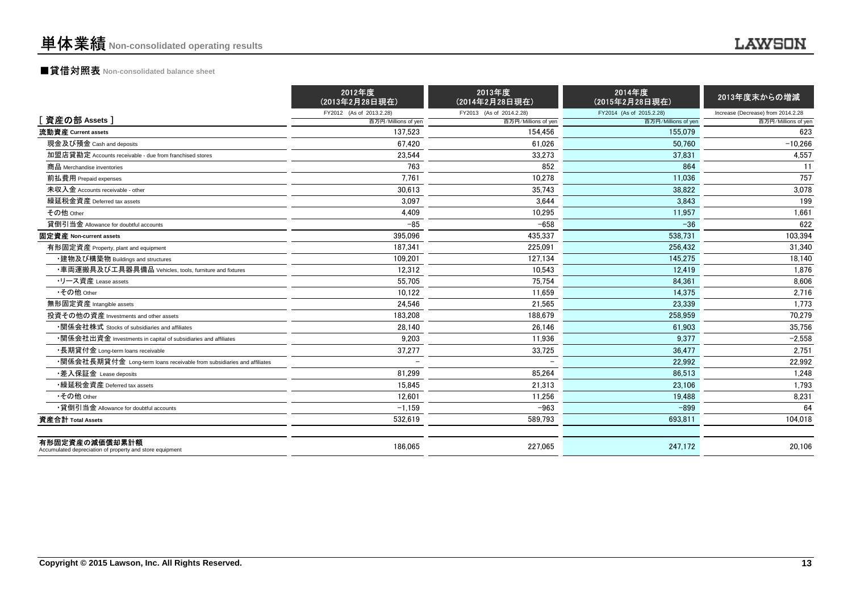### ■貸借対照表 **Non-consolidated balance sheet**

|                                                                            | 2012年度<br>(2013年2月28日現在) | 2013年度<br>(2014年2月28日現在) | 2014年度<br>(2015年2月28日現在)                                                                                                                                                                                                                                                                                                                                                                                                                                                                                                                                                   | 2013年度末からの増減                       |
|----------------------------------------------------------------------------|--------------------------|--------------------------|----------------------------------------------------------------------------------------------------------------------------------------------------------------------------------------------------------------------------------------------------------------------------------------------------------------------------------------------------------------------------------------------------------------------------------------------------------------------------------------------------------------------------------------------------------------------------|------------------------------------|
|                                                                            | FY2012 (As of 2013.2.28) | FY2013 (As of 2014.2.28) | FY2014 (As of 2015.2.28)                                                                                                                                                                                                                                                                                                                                                                                                                                                                                                                                                   | Increase (Decrease) from 2014.2.28 |
| [資産の部 Assets]                                                              | 百万円/Millions of yen      |                          | 百万円/Millions of yen<br>百万円/Millions of yen<br>154.456<br>155.079<br>61.026<br>50.760<br>33,273<br>37.831<br>852<br>864<br>10,278<br>11,036<br>38,822<br>35,743<br>3.644<br>3,843<br>10.295<br>11.957<br>$-658$<br>$-36$<br>435.337<br>538,731<br>225.091<br>256.432<br>127.134<br>145.275<br>10,543<br>12,419<br>75,754<br>84,361<br>14.375<br>11.659<br>21.565<br>23.339<br>188.679<br>258.959<br>26,146<br>61,903<br>9,377<br>11,936<br>33,725<br>36,477<br>22,992<br>85.264<br>86,513<br>23,106<br>21,313<br>19,488<br>11,256<br>$-963$<br>$-899$<br>589,793<br>693,811 | 百万円/Millions of yen                |
| 流動資産 Current assets                                                        | 137.523                  |                          |                                                                                                                                                                                                                                                                                                                                                                                                                                                                                                                                                                            | 623                                |
| 現金及び預金 Cash and deposits                                                   | 67.420                   |                          |                                                                                                                                                                                                                                                                                                                                                                                                                                                                                                                                                                            | $-10.266$                          |
| 加盟店貸勘定 Accounts receivable - due from franchised stores                    | 23.544                   |                          |                                                                                                                                                                                                                                                                                                                                                                                                                                                                                                                                                                            | 4,557                              |
| 商品 Merchandise inventories                                                 | 763                      |                          |                                                                                                                                                                                                                                                                                                                                                                                                                                                                                                                                                                            | 11                                 |
| 前払費用 Prepaid expenses                                                      | 7,761                    |                          |                                                                                                                                                                                                                                                                                                                                                                                                                                                                                                                                                                            | 757                                |
| 未収入金 Accounts receivable - other                                           | 30.613                   |                          |                                                                                                                                                                                                                                                                                                                                                                                                                                                                                                                                                                            | 3,078                              |
| 繰延税金資産 Deferred tax assets                                                 | 3.097                    |                          |                                                                                                                                                                                                                                                                                                                                                                                                                                                                                                                                                                            | 199                                |
| その他 Other                                                                  | 4.409                    |                          |                                                                                                                                                                                                                                                                                                                                                                                                                                                                                                                                                                            | 1,661                              |
| 貸倒引当金 Allowance for doubtful accounts                                      | $-85$                    |                          |                                                                                                                                                                                                                                                                                                                                                                                                                                                                                                                                                                            | 622                                |
| 固定資産 Non-current assets                                                    | 395.096                  |                          |                                                                                                                                                                                                                                                                                                                                                                                                                                                                                                                                                                            | 103,394                            |
| 有形固定資産 Property, plant and equipment                                       | 187.341                  |                          |                                                                                                                                                                                                                                                                                                                                                                                                                                                                                                                                                                            | 31.340                             |
| ・建物及び構築物 Buildings and structures                                          | 109.201                  |                          |                                                                                                                                                                                                                                                                                                                                                                                                                                                                                                                                                                            | 18.140                             |
| ・車両運搬具及び工具器具備品 Vehicles, tools, furniture and fixtures                     | 12,312                   |                          |                                                                                                                                                                                                                                                                                                                                                                                                                                                                                                                                                                            | 1,876                              |
| •リース資産 Lease assets                                                        | 55.705                   |                          |                                                                                                                                                                                                                                                                                                                                                                                                                                                                                                                                                                            | 8,606                              |
| •その他 Other                                                                 | 10.122                   |                          |                                                                                                                                                                                                                                                                                                                                                                                                                                                                                                                                                                            | 2.716                              |
| 無形固定資産 Intangible assets                                                   | 24.546                   |                          |                                                                                                                                                                                                                                                                                                                                                                                                                                                                                                                                                                            | 1,773                              |
| 投資その他の資産 Investments and other assets                                      | 183.208                  |                          |                                                                                                                                                                                                                                                                                                                                                                                                                                                                                                                                                                            | 70.279                             |
| •関係会社株式 Stocks of subsidiaries and affiliates                              | 28,140                   |                          |                                                                                                                                                                                                                                                                                                                                                                                                                                                                                                                                                                            | 35,756                             |
| •関係会社出資金 Investments in capital of subsidiaries and affiliates             | 9,203                    |                          |                                                                                                                                                                                                                                                                                                                                                                                                                                                                                                                                                                            | $-2,558$                           |
| ・長期貸付金 Long-term loans receivable                                          | 37,277                   |                          |                                                                                                                                                                                                                                                                                                                                                                                                                                                                                                                                                                            | 2,751                              |
| •関係会社長期貸付金 Long-term loans receivable from subsidiaries and affiliates     |                          |                          |                                                                                                                                                                                                                                                                                                                                                                                                                                                                                                                                                                            | 22,992                             |
| •差入保証金 Lease deposits                                                      | 81.299                   |                          |                                                                                                                                                                                                                                                                                                                                                                                                                                                                                                                                                                            | 1,248                              |
| •繰延税金資産 Deferred tax assets                                                | 15.845                   |                          |                                                                                                                                                                                                                                                                                                                                                                                                                                                                                                                                                                            | 1,793                              |
| • その他 Other                                                                | 12.601                   |                          |                                                                                                                                                                                                                                                                                                                                                                                                                                                                                                                                                                            | 8,231                              |
| •貸倒引当金 Allowance for doubtful accounts                                     | $-1,159$                 |                          |                                                                                                                                                                                                                                                                                                                                                                                                                                                                                                                                                                            | 64                                 |
| 資産合計 Total Assets                                                          | 532.619                  |                          |                                                                                                                                                                                                                                                                                                                                                                                                                                                                                                                                                                            | 104,018                            |
| 有形固定資産の減価償却累計額<br>Accumulated depreciation of property and store equipment | 186.065                  | 227.065                  | 247.172                                                                                                                                                                                                                                                                                                                                                                                                                                                                                                                                                                    | 20.106                             |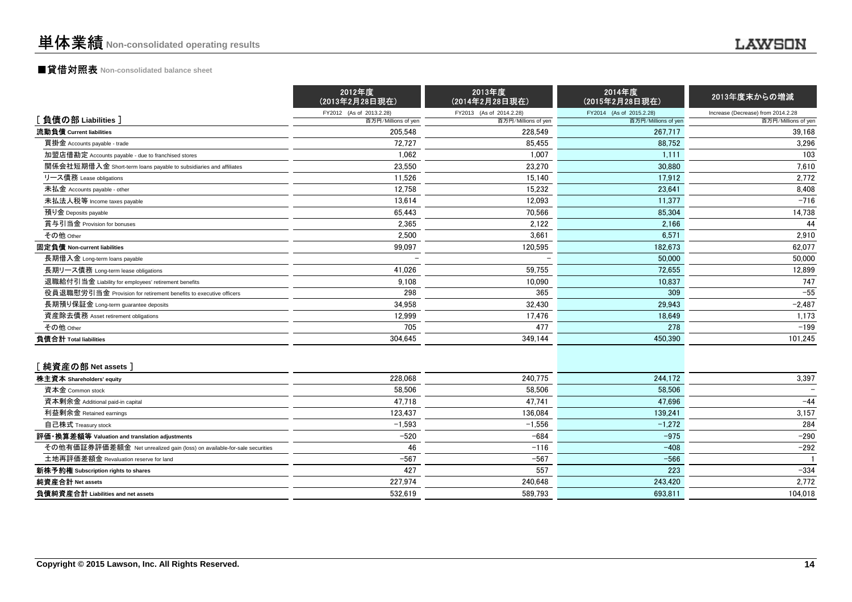|                                                                          | 2012年度<br>(2013年2月28日現在) | 2013年度<br>(2014年2月28日現在) | 2014年度<br>(2015年2月28日現在) | 2013年度末からの増減                       |
|--------------------------------------------------------------------------|--------------------------|--------------------------|--------------------------|------------------------------------|
|                                                                          | FY2012 (As of 2013.2.28) | FY2013 (As of 2014.2.28) | FY2014 (As of 2015.2.28) | Increase (Decrease) from 2014.2.28 |
| [負債の部 Liabilities]                                                       | 百万円/Millions of yen      | 百万円/Millions of yen      | 百万円/Millions of yen      | 百万円/Millions of yen                |
| 流動負債 Current liabilities                                                 | 205,548                  | 228,549                  | 267.717                  | 39,168                             |
| 買掛金 Accounts payable - trade                                             | 72.727                   | 85,455                   | 88,752                   | 3,296                              |
| 加盟店借勘定 Accounts payable - due to franchised stores                       | 1.062                    | 1.007                    | 1,111                    | 103                                |
| 関係会社短期借入金 Short-term loans payable to subsidiaries and affiliates        | 23,550                   | 23,270                   | 30,880                   | 7,610                              |
| リース債務 Lease obligations                                                  | 11,526                   | 15,140                   | 17,912                   | 2,772                              |
| 未払金 Accounts payable - other                                             | 12,758                   | 15,232                   | 23,641                   | 8,408                              |
| 未払法人税等 Income taxes payable                                              | 13,614                   | 12,093                   | 11.377                   | $-716$                             |
| 預り金 Deposits payable                                                     | 65,443                   | 70,566                   | 85,304                   | 14,738                             |
| 賞与引当金 Provision for bonuses                                              | 2,365                    | 2,122                    | 2,166                    | 44                                 |
| その他 Other                                                                | 2,500                    | 3.661                    | 6,571                    | 2,910                              |
| 固定負債 Non-current liabilities                                             | 99,097                   | 120.595                  | 182.673                  | 62.077                             |
| 長期借入金 Long-term loans payable                                            |                          |                          | 50,000                   | 50,000                             |
| 長期リース債務 Long-term lease obligations                                      | 41,026                   | 59,755                   | 72,655                   | 12,899                             |
| 退職給付引当金 Liability for employees' retirement benefits                     | 9,108                    | 10,090                   | 10,837                   | 747                                |
| 役員退職慰労引当金 Provision for retirement benefits to executive officers        | 298                      | 365                      | 309                      | $-55$                              |
| 長期預り保証金 Long-term quarantee deposits                                     | 34,958                   | 32,430                   | 29,943                   | $-2,487$                           |
| 資産除去債務 Asset retirement obligations                                      | 12,999                   | 17,476                   | 18,649                   | 1,173                              |
| その他 Other                                                                | 705                      | 477                      | 278                      | $-199$                             |
| 負債合計 Total liabilities                                                   | 304,645                  | 349,144                  | 450.390                  | 101,245                            |
| [純資産の部 Net assets]                                                       |                          |                          |                          |                                    |
| 株主資本 Shareholders' equity                                                | 228,068                  | 240.775                  | 244.172                  | 3,397                              |
| 資本金 Common stock                                                         | 58,506                   | 58,506                   | 58,506                   |                                    |
| 資本剰余金 Additional paid-in capital                                         | 47,718                   | 47.741                   | 47,696                   | $-44$                              |
| 利益剰余金 Retained earnings                                                  | 123,437                  | 136,084                  | 139,241                  | 3,157                              |
| 自己株式 Treasury stock                                                      | $-1,593$                 | $-1,556$                 | $-1,272$                 | 284                                |
| 評価 換算差額等 Valuation and translation adjustments                           | $-520$                   | $-684$                   | $-975$                   | $-290$                             |
| その他有価証券評価差額金 Net unrealized gain (loss) on available-for-sale securities | 46                       | $-116$                   | $-408$                   | $-292$                             |
| 土地再評価差額金 Revaluation reserve for land                                    | $-567$                   | $-567$                   | $-566$                   |                                    |
| 新株予約権 Subscription rights to shares                                      | 427                      | 557                      | 223                      | $-334$                             |
| 純資産合計 Net assets                                                         | 227.974                  | 240.648                  | 243.420                  | 2,772                              |
| 負債純資産合計 Liabilities and net assets                                       | 532.619                  | 589.793                  | 693.811                  | 104.018                            |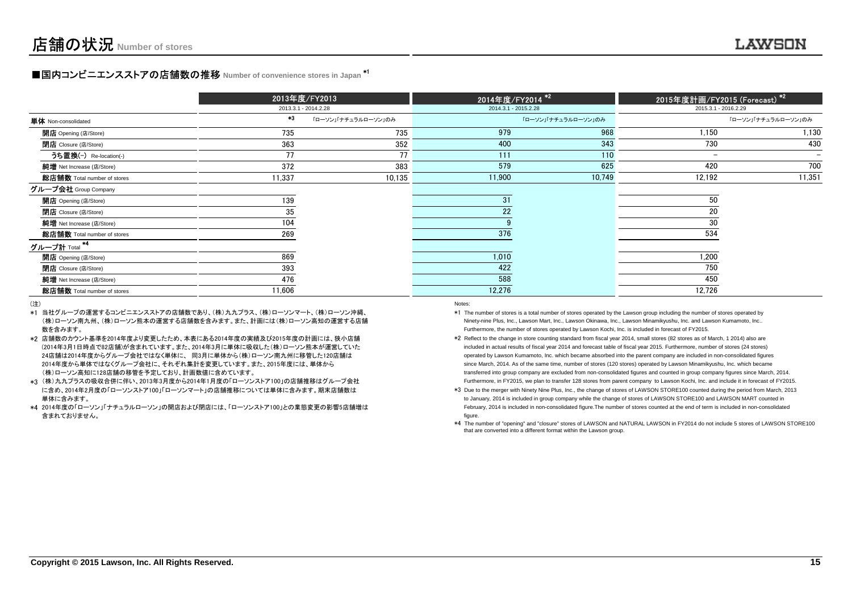## **■国内コンビニエンスストアの店舗数の推移** Number of convenience stores in Japan <sup>\*1</sup>

|                                  |        | 2013年度/FY2013        |                      | 2014年度/FY2014 <sup>*2</sup> | 2015年度計画/FY <u>2015 (Forecast) *2</u> |                     |
|----------------------------------|--------|----------------------|----------------------|-----------------------------|---------------------------------------|---------------------|
|                                  |        | 2013.3.1 - 2014.2.28 | 2014.3.1 - 2015.2.28 |                             | 2015.3.1 - 2016.2.29                  |                     |
| <b>単体</b> Non-consolidated       | $*3$   | 「ローソン」「ナチュラルローソン」のみ  |                      | 「ローソン」「ナチュラルローソン」のみ         |                                       | 「ローソン」「ナチュラルローソン」のみ |
| <b>開店</b> Opening (店/Store)      | 735    | 735                  | 979                  | 968                         | 1,150                                 | 1,130               |
| <b>閉店</b> Closure (店/Store)      | 363    | 352                  | 400                  | 343                         | 730                                   | 430                 |
| うち置換(-) Re-location(-)           | 77     | 77                   | 111                  | 110                         | $\overline{\phantom{0}}$              |                     |
| 純增 Net Increase (店/Store)        | 372    | 383                  | 579                  | 625                         | 420                                   | 700                 |
| 総店舗数 Total number of stores      | 11,337 | 10,135               | 11,900               | 10,749                      | 12,192                                | 11,351              |
| グループ会社 Group Company             |        |                      |                      |                             |                                       |                     |
| 開店 Opening (店/Store)             | 139    |                      | 31                   |                             | 50                                    |                     |
| <b>閉店</b> Closure (店/Store)      | 35     |                      | 22                   |                             | 20                                    |                     |
| 純増 Net Increase (店/Store)        | 104    |                      |                      |                             | 30                                    |                     |
| 総店舗数 Total number of stores      | 269    |                      | 376                  |                             | 534                                   |                     |
| <u>グループ計</u> Total <sup>*4</sup> |        |                      |                      |                             |                                       |                     |
| 開店 Opening (店/Store)             | 869    |                      | 1,010                |                             | 1,200                                 |                     |
| <b>閉店</b> Closure (店/Store)      | 393    |                      | 422                  |                             | 750                                   |                     |
| 純增 Net Increase (店/Store)        | 476    |                      | 588                  |                             | 450                                   |                     |
| 総店舗数 Total number of stores      | 11,606 |                      | 12,276               |                             | 12,726                                |                     |

(注)

- \*1当社グループの運営するコンビニエンスストアの店舗数であり、(株)九九プラス、(株)ローソンマート、(株)ローソン沖縄、 (株)ローソン南九州、(株)ローソン熊本の運営する店舗数を含みます。また、計画には(株)ローソン高知の運営する店舗数を含みます。) and the contract of the contract of the contract of the contract of the contract of the contract of the contract of the contract of the contract of the contract of the contract of the contract of the contract of the cont
- \*2店舗数のカウント基準を2014年度より変更したため、本表にある2014年度の実績及び2015年度の計画には、狭小店舗 24店舗は2014年度からグループ会社ではなく単体に、 同3月に単体から(株)ローソン南九州に移管した120店舗は(2014年3月1日時点で82店舗)が含まれています。また、2014年3月に単体に吸収した(株)ローソン熊本が運営していた (株)ローソン高知に128店舗の移管を予定しており、計画数値に含めています。2014年度から単体ではなくグループ会社に、それぞれ集計を変更しています。また、2015年度には、単体から
- \*3(株)九九プラスの吸収合併に伴い、2013年3月度から2014年1月度の「ローソンストア100」の店舗推移はグループ会社 単体に含みます。に含め、2014年2月度の「ローソンストア100」「ローソンマート」の店舗推移については単体に含みます。期末店舗数は
- \*4 2014年度の「ローソン」「ナチュラルローソン」の開店および閉店には、「ローソンストア100」との業態変更の影響5店舗増は含まれておりません。

- \*1 The number of stores is a total number of stores operated by the Lawson group including the number of stores operated by Ninety-nine Plus, Inc., Lawson Mart, Inc., Lawson Okinawa, Inc., Lawson Minamikyushu, Inc. and Lawson Kumamoto, Inc..Furthermore, the number of stores operated by Lawson Kochi, Inc. is included in forecast of FY2015.
- \*2 Reflect to the change in store counting standard from fiscal year 2014, small stores (82 stores as of March, 1 2014) also are included in actual results of fiscal year 2014 and forecast table of fiscal year 2015. Furthermore, number of stores (24 stores) operated by Lawson Kumamoto, Inc. which became absorbed into the parent company are included in non-consolidated figures since March, 2014. As of the same time, number of stores (120 stores) operated by Lawson Minamikyushu, Inc. which became transferred into group company are excluded from non-consolidated figures and counted in group company figures since March, 2014.Furthermore, in FY2015, we plan to transfer 128 stores from parent company to Lawson Kochi, Inc. and include it in forecast of FY2015.
- \*3 Due to the merger with Ninety Nine Plus, Inc., the change of stores of LAWSON STORE100 counted during the period from March, 2013to January, 2014 is included in group company while the change of stores of LAWSON STORE100 and LAWSON MART counted in February, 2014 is included in non-consolidated figure.The number of stores counted at the end of term is included in non-consolidatedfigure.
- \*4 The number of "opening" and "closure" stores of LAWSON and NATURAL LAWSON in FY2014 do not include 5 stores of LAWSON STORE100that are converted into a different format within the Lawson group.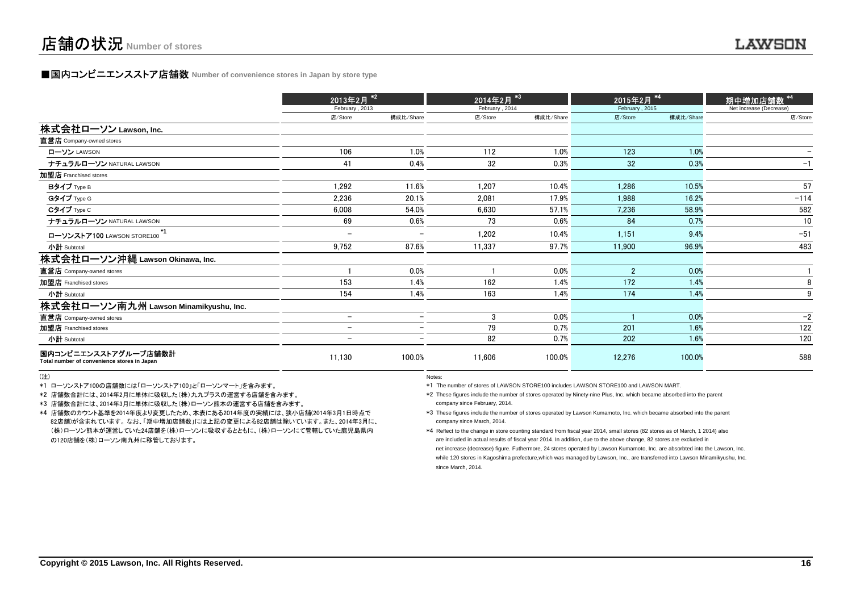### **■国内コンビニエンスストア店舗数 Number of convenience stores in Japan by store type**

|                                                                     | 2013年2月 <sup>*2</sup>    |                          |                | 2014年2月 <sup>*3】</sup> |                 | 2015年2月 ** |                         |  |
|---------------------------------------------------------------------|--------------------------|--------------------------|----------------|------------------------|-----------------|------------|-------------------------|--|
|                                                                     | February, 2013           |                          | February, 2014 |                        | February, 2015  |            | Net increase (Decrease) |  |
|                                                                     | 店/Store                  | 構成比/Share                | 店/Store        | 構成比/Share              | 店/Store         | 構成比/Share  | 店/Store                 |  |
| 株式会社ローソン Lawson, Inc.                                               |                          |                          |                |                        |                 |            |                         |  |
| 直営店 Company-owned stores                                            |                          |                          |                |                        |                 |            |                         |  |
| ローソン LAWSON                                                         | 106                      | 1.0%                     | 112            | 1.0%                   | 123             | 1.0%       |                         |  |
| ナチュラルローソン NATURAL LAWSON                                            | 41                       | 0.4%                     | 32             | 0.3%                   | 32 <sub>2</sub> | 0.3%       | $-1$                    |  |
| 加盟店 Franchised stores                                               |                          |                          |                |                        |                 |            |                         |  |
| Bタイプ Type B                                                         | 1,292                    | 11.6%                    | 1,207          | 10.4%                  | 1,286           | 10.5%      | 57                      |  |
| Gタイプ Type G                                                         | 2,236                    | 20.1%                    | 2,081          | 17.9%                  | 1,988           | 16.2%      | $-114$                  |  |
| Cタイプ Type C                                                         | 6,008                    | 54.0%                    | 6,630          | 57.1%                  | 7,236           | 58.9%      | 582                     |  |
| ナチュラルローソン NATURAL LAWSON                                            | 69                       | 0.6%                     | 73             | 0.6%                   | 84              | 0.7%       | 10                      |  |
| ローソンストア100 LAWSON STORE100                                          | -                        | -                        | 1,202          | 10.4%                  | 1,151           | 9.4%       | $-51$                   |  |
| 小計 Subtotal                                                         | 9,752                    | 87.6%                    | 11,337         | 97.7%                  | 11,900          | 96.9%      | 483                     |  |
| 株式会社ローソン沖縄 Lawson Okinawa, Inc.                                     |                          |                          |                |                        |                 |            |                         |  |
| 直営店 Company-owned stores                                            |                          | 0.0%                     |                | 0.0%                   | $\overline{2}$  | 0.0%       |                         |  |
| 加盟店 Franchised stores                                               | 153                      | 1.4%                     | 162            | 1.4%                   | 172             | 1.4%       | 8                       |  |
| 小計 Subtotal                                                         | 154                      | 1.4%                     | 163            | 1.4%                   | 174             | 1.4%       | 9                       |  |
| 株式会社ローソン南九州 Lawson Minamikyushu, Inc.                               |                          |                          |                |                        |                 |            |                         |  |
| 直営店 Company-owned stores                                            | $\overline{\phantom{0}}$ | $\overline{\phantom{0}}$ | 3              | 0.0%                   |                 | 0.0%       | $-2$                    |  |
| 加盟店 Franchised stores                                               | -                        | -                        | 79             | 0.7%                   | 201             | 1.6%       | 122                     |  |
| 小計 Subtotal                                                         |                          |                          | 82             | 0.7%                   | 202             | 1.6%       | 120                     |  |
| 国内コンビニエンスストアグループ店舗数計<br>Total number of convenience stores in Japan | 11,130                   | 100.0%                   | 11,606         | 100.0%                 | 12,276          | 100.0%     | 588                     |  |

(注)

\*1 ローソンストア100の店舗数には「ローソンストア100」と「ローソンマート」を含みます。

\*2 店舗数合計には、2014年2月に単体に吸収した(株)九九プラスの運営する店舗を含みます。

\*3 店舗数合計には、2014年3月に単体に吸収した(株)ローソン熊本の運営する店舗を含みます。

 \*4 店舗数のカウント基準を2014年度より変更したため、本表にある2014年度の実績には、狭小店舗(2014年3月1日時点で 82店舗)が含まれています。 なお、「期中増加店舗数」には上記の変更による82店舗は除いています。また、2014年3月に、 (株)ローソン熊本が運営していた24店舗を(株)ローソンに吸収するとともに、(株)ローソンにて管轄していた鹿児島県内の120店舗を(株)ローソン南九州に移管しております。

Notes:

\*1 The number of stores of LAWSON STORE100 includes LAWSON STORE100 and LAWSON MART.

\*2 These figures include the number of stores operated by Ninety-nine Plus, Inc. which became absorbed into the parentcompany since February, 2014.

\*3 These figures include the number of stores operated by Lawson Kumamoto, Inc. which became absorbed into the parentcompany since March, 2014.

\*4 Reflect to the change in store counting standard from fiscal year 2014, small stores (82 stores as of March, 1 2014) alsoare included in actual results of fiscal year 2014. In addition, due to the above change, 82 stores are excluded in net increase (decrease) figure. Futhermore, 24 stores operated by Lawson Kumamoto, Inc. are absorbted into the Lawson, Inc.while 120 stores in Kagoshima prefecture,which was managed by Lawson, Inc., are transferred into Lawson Minamikyushu, Inc. since March, 2014.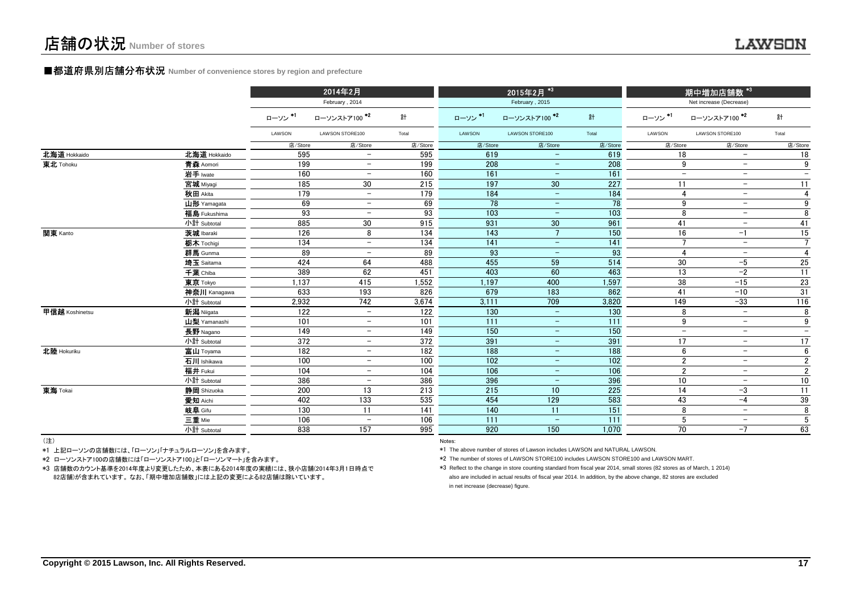#### **■都道府県別店舗分布状況** Number of convenience stores by region and prefecture

|                |              |         | 2014年2月                  |         |         | 2015年2月 *3               |                  |                | <mark> 期中増加店舗数 *<sup>3  </sup></mark> |                          |
|----------------|--------------|---------|--------------------------|---------|---------|--------------------------|------------------|----------------|---------------------------------------|--------------------------|
|                |              |         | February, 2014           |         |         | February, 2015           |                  |                | Net increase (Decrease)               |                          |
|                |              | ローソン*1  | ローソンストア100 *2            | 計       | ローソン*1  | ローソンストア100 *2            | 計                | ローソン *1        | ローソンストア100 *2                         | 計                        |
|                |              | LAWSON  | LAWSON STORE100          | Total   | LAWSON  | LAWSON STORE100          | Total            | LAWSON         | LAWSON STORE100                       | Total                    |
|                |              | 店/Store | 店/Store                  | 店/Store | 店/Store | 店/Store                  | 店/Store          | 店/Store        | 店/Store                               | 店/Store                  |
| 北海道 Hokkaido   | 北海道 Hokkaido | 595     |                          | 595     | 619     |                          | 619              | 18             | $\overline{\phantom{m}}$              | 18                       |
| 東北 Tohoku      | 青森 Aomori    | 199     | $\overline{\phantom{0}}$ | 199     | 208     |                          | 208              | 9              | $\qquad \qquad -$                     | 9                        |
|                | 岩手 Iwate     | 160     |                          | 160     | 161     |                          | 161              | $-$            | $\overline{\phantom{a}}$              | $\overline{\phantom{m}}$ |
|                | 宮城 Miyagi    | 185     | 30                       | 215     | 197     | 30                       | 227              | 11             | $\overline{\phantom{m}}$              | 11                       |
|                | 秋田 Akita     | 179     | $\overline{\phantom{m}}$ | 179     | 184     |                          | 184              | 4              | $\overline{\phantom{m}}$              | 4                        |
|                | 山形 Yamagata  | 69      | $\overline{\phantom{0}}$ | 69      | 78      | $\qquad \qquad -$        | 78               | 9              | $\overline{\phantom{m}}$              | 9                        |
|                | 福島 Fukushima | 93      | $\overline{\phantom{0}}$ | 93      | 103     |                          | 103              | 8              | $\qquad \qquad -$                     | $\overline{8}$           |
|                | 小計 Subtotal  | 885     | 30                       | 915     | 931     | 30 <sup>°</sup>          | 961              | 41             | $\overline{\phantom{m}}$              | 41                       |
| 関東 Kanto       | 茨城 Ibaraki   | 126     | 8                        | 134     | 143     | $7\overline{ }$          | 150              | 16             | $-1$                                  | 15                       |
|                | 栃木 Tochigi   | 134     | $\overline{\phantom{m}}$ | 134     | 141     | $\equiv$                 | 141              | $\overline{7}$ | $\overline{\phantom{m}}$              | $\overline{7}$           |
|                | 群馬 Gunma     | 89      | $\overline{\phantom{0}}$ | 89      | 93      | $\qquad \qquad -$        | 93               | $\overline{4}$ | $\overline{\phantom{m}}$              | $\overline{4}$           |
|                | 埼玉 Saitama   | 424     | 64                       | 488     | 455     | 59                       | 514              | 30             | -5                                    | 25                       |
|                | 千葉 Chiba     | 389     | 62                       | 451     | 403     | 60                       | 463              | 13             | $-2$                                  | 11                       |
|                | 東京 Tokyo     | 1,137   | 415                      | 1,552   | 1,197   | 400                      | 1,597            | 38             | $-15$                                 | 23                       |
|                | 神奈川 Kanagawa | 633     | 193                      | 826     | 679     | 183                      | 862              | 41             | $-10$                                 | 31                       |
|                | 小計 Subtotal  | 2,932   | 742                      | 3,674   | 3,111   | 709                      | 3,820            | 149            | $-33$                                 | 116                      |
| 甲信越 Koshinetsu | 新潟 Niigata   | 122     | $\overline{\phantom{a}}$ | 122     | 130     | $\equiv$                 | $\frac{130}{ }$  | 8              | $\overline{\phantom{a}}$              | 8                        |
|                | 山梨 Yamanashi | 101     | $\overline{\phantom{m}}$ | 101     | 111     | $\qquad \qquad -$        | $\overline{111}$ | $9\,$          | $\overline{\phantom{a}}$              | $\boldsymbol{9}$         |
|                | 長野 Nagano    | 149     | $-$                      | 149     | 150     | $\qquad \qquad -$        | 150              | $-$            | $\overline{\phantom{m}}$              | $\qquad \qquad -$        |
|                | 小計 Subtotal  | 372     | $\overline{\phantom{0}}$ | 372     | 391     | $\qquad \qquad -$        | 391              | 17             | $\overline{\phantom{m}}$              | 17                       |
| 北陸 Hokuriku    | 富山 Toyama    | 182     | $-$                      | 182     | 188     | $\qquad \qquad -$        | 188              | 6              | $\qquad \qquad -$                     | $\overline{6}$           |
|                | 石川 Ishikawa  | 100     | $\overline{\phantom{0}}$ | 100     | 102     | $\qquad \qquad -$        | 102              | $\overline{2}$ | $\overline{\phantom{m}}$              | $\overline{2}$           |
|                | 福井 Fukui     | 104     | $\qquad \qquad -$        | 104     | 106     | $\overline{\phantom{a}}$ | 106              | $\overline{2}$ | $\overline{\phantom{m}}$              | $\overline{2}$           |
|                | 小計 Subtotal  | 386     | $\overline{\phantom{m}}$ | 386     | 396     | $\qquad \qquad -$        | 396              | 10             | $\overline{\phantom{m}}$              | 10                       |
| 東海 Tokai       | 静岡 Shizuoka  | 200     | 13                       | 213     | 215     | 10                       | 225              | 14             | -3                                    | $\overline{11}$          |
|                | 愛知 Aichi     | 402     | 133                      | 535     | 454     | 129                      | 583              | 43             | $-4$                                  | 39                       |
|                | 岐阜 Gifu      | 130     | 11                       | 141     | 140     | 11                       | 151              | 8              | $\equiv$                              | 8                        |
|                | 三重 Mie       | 106     | $\qquad \qquad -$        | 106     | 111     |                          | 111              | $\sqrt{5}$     | $\overline{\phantom{m}}$              | $\sqrt{5}$               |
|                | 小計 Subtotal  | 838     | 157                      | 995     | 920     | 150                      | 1,070            | 70             | $-7$                                  | 63                       |
| $(3 + 1)$      |              |         |                          |         |         |                          |                  |                |                                       |                          |

(注)

\*1 上記ローソンの店舗数には、「ローソン」「ナチュラルローソン」を含みます。

\*2 ローソンストア100の店舗数には「ローソンストア100」と「ローソンマート」を含みます。

 \*3 店舗数のカウント基準を2014年度より変更したため、本表にある2014年度の実績には、狭小店舗(2014年3月1日時点で82店舗)が含まれています。 なお、「期中増加店舗数」には上記の変更による82店舗は除いています。

Notes:

\*1 The above number of stores of Lawson includes LAWSON and NATURAL LAWSON.

\*2 The number of stores of LAWSON STORE100 includes LAWSON STORE100 and LAWSON MART.

\*3 Reflect to the change in store counting standard from fiscal year 2014, small stores (82 stores as of March, 1 2014)also are included in actual results of fiscal year 2014. In addition, by the above change, 82 stores are excluded in net increase (decrease) figure.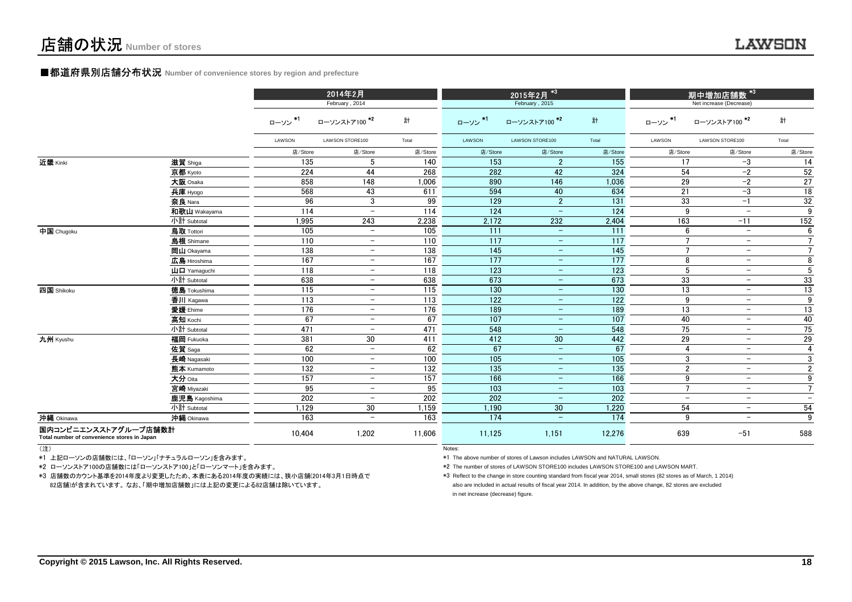#### ■都道府県別店舗分布状況 **Number of convenience stores by region and prefecture**

|                                                                     |                                                       |                  | 2014年2月<br>February, 2014 |                   |         | 2015年2月 *3<br>February, 2015 |         | _<br>期中増加店 <u>舗数 *<sup>3!</sup></u><br>Net increase (Decrease) |                          |                          |
|---------------------------------------------------------------------|-------------------------------------------------------|------------------|---------------------------|-------------------|---------|------------------------------|---------|----------------------------------------------------------------|--------------------------|--------------------------|
|                                                                     |                                                       | ローソン*1           | ローソンストア100 <sup>*2</sup>  | 計                 | ローソン*1  | ローソンストア100 *2                | 計       | ローソン*1                                                         | ローソンストア100 <sup>*2</sup> | 計                        |
|                                                                     |                                                       | LAWSON           | LAWSON STORE100           | Total             | LAWSON  | LAWSON STORE100              | Total   | LAWSON                                                         | LAWSON STORE100          | Total                    |
|                                                                     |                                                       | 店/Store          | 店/Store                   | 店/Store           | 店/Store | 店/Store                      | 店/Store | 店/Store                                                        | 店/Store                  | 店/Store                  |
| 近畿 Kinki                                                            | 滋賀 Shiga                                              | 135              | 5                         | 140               | 153     | $\overline{2}$               | 155     | 17                                                             | $-3$                     | 14                       |
|                                                                     | 京都 Kyoto                                              | 224              | 44                        | 268               | 282     | 42                           | 324     | 54                                                             | $-2$                     | 52                       |
|                                                                     | 大阪 Osaka                                              | 858              | 148                       | 1,006             | 890     | 146                          | 1,036   | 29                                                             | $-2$                     | 27                       |
|                                                                     | 兵庫 Hyogo                                              | 568              | 43                        | 611               | 594     | 40                           | 634     | 21                                                             | $-3$                     | 18                       |
|                                                                     | 奈良 Nara                                               | 96               | 3                         | 99                | 129     | $\overline{2}$               | 131     | 33                                                             | $-1$                     | 32                       |
|                                                                     | 和歌山 Wakayama                                          | 114              | $\overline{\phantom{a}}$  | 114               | 124     | $\overline{\phantom{m}}$     | 124     | 9                                                              | $\overline{\phantom{m}}$ | 9                        |
|                                                                     | 小計 Subtotal                                           | 1,995            | 243                       | 2,238             | 2,172   | 232                          | 2,404   | 163                                                            | $-11$                    | 152                      |
| 中国 Chugoku                                                          | 鳥取 Tottori                                            | 105              | $\equiv$                  | 105               | 111     | $-$                          | 111     | 6                                                              | $\equiv$                 | 6                        |
|                                                                     | <b>島根</b> Shimane                                     | 110              | $\equiv$                  | 110               | 117     | $\equiv$                     | 117     | $\overline{7}$                                                 | $\qquad \qquad -$        | $7\overline{ }$          |
|                                                                     | 岡山 Okayama                                            | 138              | $\equiv$                  | 138               | 145     | $\equiv$                     | 145     | $\overline{7}$                                                 | $\equiv$                 | $\overline{7}$           |
|                                                                     | 広島 Hiroshima                                          | 167              | $ \,$                     | 167               | 177     | $\overline{\phantom{m}}$     | 177     | 8                                                              | $\qquad \qquad -$        | 8                        |
|                                                                     | $\mathbf{\mathsf{u}}$ $\mathbf{\mathsf{u}}$ Yamaquchi | 118              | $\equiv$                  | 118               | 123     | $\equiv$                     | 123     | 5                                                              | $-$                      | 5                        |
|                                                                     | 小計 Subtotal                                           | 638              | $\equiv$                  | 638               | 673     | $\equiv$                     | 673     | 33                                                             | $\overline{\phantom{m}}$ | 33                       |
| 四国 Shikoku                                                          | <b>徳島 Tokushima</b>                                   | 115              | $ \,$                     | $\frac{115}{2}$   | 130     | $\overline{\phantom{a}}$     | 130     | 13                                                             | $\qquad \qquad -$        | 13                       |
|                                                                     | 香川 Kagawa                                             | 113              | $\equiv$                  | 113               | 122     | $\qquad \qquad -$            | 122     | 9                                                              | $\overline{\phantom{m}}$ | 9                        |
|                                                                     | 愛媛 Ehime                                              | 176              | $\overline{\phantom{0}}$  | 176               | 189     | $\overline{\phantom{m}}$     | 189     | 13                                                             | $-$                      | 13                       |
|                                                                     | 高知 Kochi                                              | 67               | $-$                       | 67                | 107     | $\qquad \qquad -$            | 107     | 40                                                             | $\overline{\phantom{0}}$ | 40                       |
|                                                                     | 小計 Subtotal                                           | 471              | $\overline{\phantom{a}}$  | 471               | 548     | $\qquad \qquad -$            | 548     | 75                                                             | $\overline{\phantom{m}}$ | 75                       |
| 九州 Kyushu                                                           | 福岡 Fukuoka                                            | 381              | 30                        | 411               | 412     | 30 <sup>°</sup>              | 442     | 29                                                             | $\overline{\phantom{a}}$ | 29                       |
|                                                                     | 佐賀 Saga                                               | 62               | $-$                       | 62                | 67      | $\qquad \qquad -$            | 67      | 4                                                              | $-$                      | $\overline{4}$           |
|                                                                     | 長崎 Nagasaki                                           | 100              | $\overline{\phantom{a}}$  | 100               | 105     | $\equiv$                     | 105     | 3                                                              | $\overline{\phantom{a}}$ | 3                        |
|                                                                     | 熊本 Kumamoto                                           | $\overline{132}$ | $-$                       | $\overline{132}$  | 135     | $\qquad \qquad -$            | 135     | $\overline{2}$                                                 | $\overline{\phantom{a}}$ | $\overline{2}$           |
|                                                                     | 大分 Oita                                               | 157              | $\overline{\phantom{a}}$  | $\frac{157}{157}$ | 166     | $\overline{\phantom{m}}$     | 166     | 9                                                              | $\overline{\phantom{m}}$ | 9                        |
|                                                                     | 宮崎 Miyazaki                                           | 95               | $\overline{\phantom{0}}$  | 95                | 103     | $\qquad \qquad -$            | 103     | $\overline{7}$                                                 | $\overline{\phantom{a}}$ | $\overline{7}$           |
|                                                                     | 鹿児島 Kagoshima                                         | 202              | $-$                       | 202               | 202     | $\overline{\phantom{a}}$     | 202     | $\qquad \qquad -$                                              | $-$                      | $\overline{\phantom{m}}$ |
|                                                                     | 小計 Subtotal                                           | 1,129            | 30                        | 1,159             | 1,190   | 30 <sub>o</sub>              | 1,220   | 54                                                             | $-$                      | 54                       |
| 沖縄 Okinawa                                                          | 沖縄 Okinawa                                            | 163              | $\overline{\phantom{0}}$  | 163               | 174     | $\overline{\phantom{a}}$     | 174     | 9                                                              | $\overline{\phantom{a}}$ | $\overline{9}$           |
| 国内コンビニエンスストアグループ店舗数計<br>Total number of convenience stores in Japan |                                                       | 10.404           | 1,202                     | 11.606            | 11,125  | 1,151                        | 12,276  | 639                                                            | $-51$                    | 588                      |

(注)

(注)<br>\*1 上記ローソンの店舗数には、「ローソン」「ナチュラルローソン」を含みます。

\*2 ローソンストア100の店舗数には「ローソンストア100」と「ローソンマート」を含みます。

 \*3 店舗数のカウント基準を2014年度より変更したため、本表にある2014年度の実績には、狭小店舗(2014年3月1日時点で82店舗)が含まれています。 なお、「期中増加店舗数」には上記の変更による82店舗は除いています。

\*1 The above number of stores of Lawson includes LAWSON and NATURAL LAWSON.

\*2 The number of stores of LAWSON STORE100 includes LAWSON STORE100 and LAWSON MART.

in net increase (decrease) figure. \*3 Reflect to the change in store counting standard from fiscal year 2014, small stores (82 stores as of March, 1 2014) also are included in actual results of fiscal year 2014. In addition, by the above change, 82 stores are excluded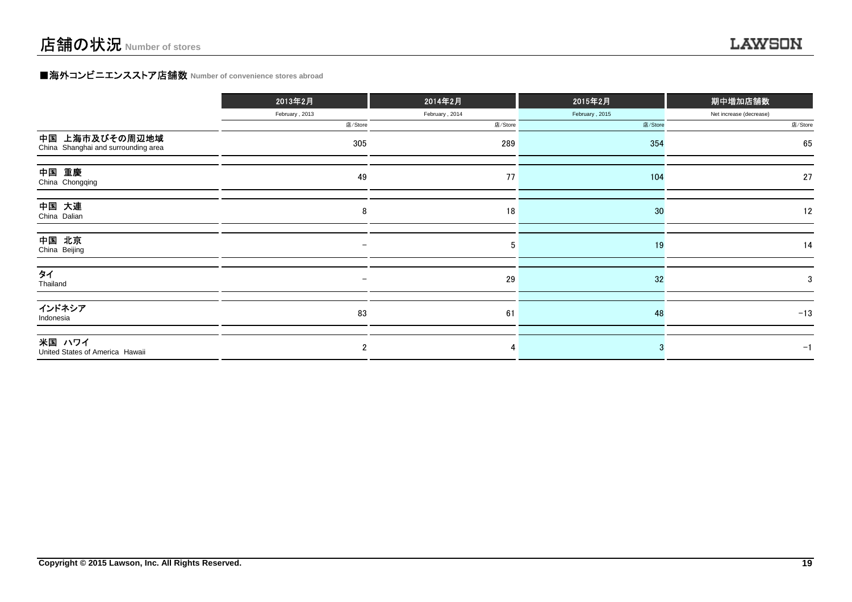### **■海外コンビニエンスストア店舗数 Number of convenience stores abroad**

|                                                       | 2013年2月                  | 2014年2月        | 2015年2月        | 期中増加店舗数                 |  |
|-------------------------------------------------------|--------------------------|----------------|----------------|-------------------------|--|
|                                                       | February, 2013           | February, 2014 | February, 2015 | Net increase (decrease) |  |
|                                                       | 店/Store                  | 店/Store        | 店/Store        | 店/Store                 |  |
| 中国 上海市及びその周辺地域<br>China Shanghai and surrounding area | 305                      | 289            | 354            | 65                      |  |
| 中国 重慶<br>China Chongqing                              | 49                       | 77             | 104            | 27                      |  |
| 中国 大連<br>China Dalian                                 | 8                        | 18             | 30             | 12                      |  |
| 中国 北京<br>China Beijing                                | $\qquad \qquad -$        | 5              | 19             | 14                      |  |
| タイ<br>Thailand                                        | $\overline{\phantom{0}}$ | 29             | 32             | 3                       |  |
| インドネシア<br>Indonesia                                   | 83                       | 61             | 48             | $-13$                   |  |
| 米国 ハワイ<br>United States of America Hawaii             | 2                        | 4              |                | $-1$                    |  |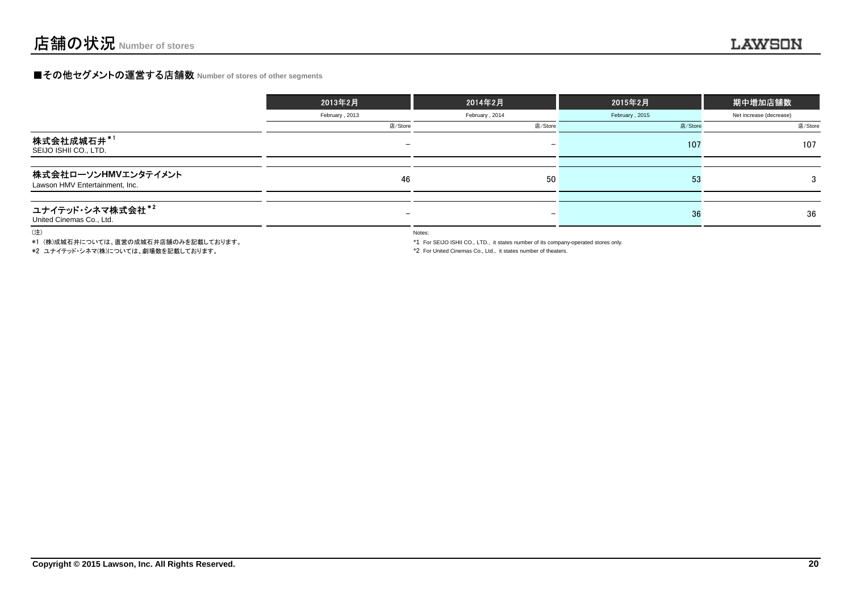### **■その他セグメントの運営する店舗数 Number of stores of other segments**

|                                                       | 2013年2月                  | 2014年2月         | 2015年2月        | 期中増加店舗数                 |
|-------------------------------------------------------|--------------------------|-----------------|----------------|-------------------------|
|                                                       | February, 2013           | February, 2014  | February, 2015 | Net increase (decrease) |
|                                                       | 店/Store                  | 店/Store         | 店/Store        | 店/Store                 |
| 株式会社成城石井*1<br>SEIJO ISHII CO., LTD.                   |                          | $\qquad \qquad$ | 107            | 107                     |
|                                                       |                          |                 |                |                         |
| 株式会社ローソンHMVエンタテイメント<br>Lawson HMV Entertainment, Inc. | 46                       | 50              | -53            | 3                       |
|                                                       |                          |                 |                |                         |
| ユナイテッド・シネマ株式会社*2<br>United Cinemas Co., Ltd.          | $\overline{\phantom{0}}$ | $\qquad \qquad$ | 36             | 36                      |

(注)

\*1 (株)成城石井については、直営の成城石井店舗のみを記載しております。

\*2 ユナイテッド・シネマ(株)については、劇場数を記載しております。

Notes:

\*1 For SEIJO ISHII CO., LTD., it states number of its company-operated stores only.

\*2 For United Cinemas Co., Ltd., it states number of theaters.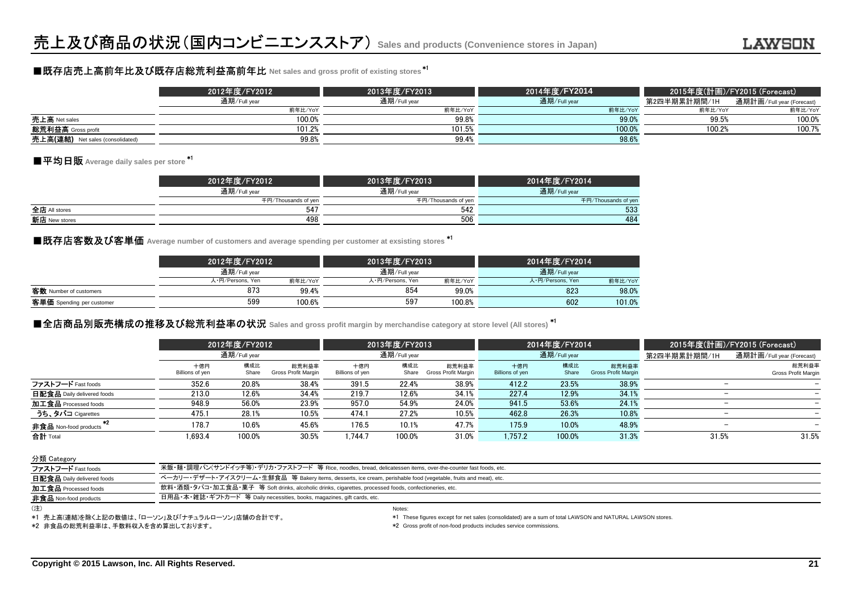## ■既存店売上高前年比及び既存店総荒利益高前年比 **Net sales and gross profit of existing stores** \*1

|                                     | 2012年度/FY2012 | 2013年度/FY2013 | 2014年度/FY2014 | 2015年度(計画)/FY2015 (Forecast) \ |                           |
|-------------------------------------|---------------|---------------|---------------|--------------------------------|---------------------------|
|                                     | 通期/Full year  | 通期/Full year  | 通期/Full year  | 第2四半期累計期間/1H                   | 通期計画/Full year (Forecast) |
|                                     | 前年比/YoY       | 前年比/YoY       | 前年比/YoY       | 前年比/YoY                        | 前年比/YoY                   |
| 売上高 Net sales                       | 100.0%        | 99.8%         | 99.0          | 99.5%                          | 100.0%                    |
| 総荒利益高 Gross profit                  | 101.2%        | 101.5%        | 100.0%        | 100.2%                         | 100.7%                    |
| 売上高(連結)<br>Net sales (consolidated) | 99.8%         | 99.4%         | 98.6%         |                                |                           |

### ■平均日販 Average daily sales per store <sup>\*1</sup>

|               | 2012年度/FY2012 <sup> </sup> | 2013年度/FY2013       | 2014年度/FY2014       |
|---------------|----------------------------|---------------------|---------------------|
|               | 通期/Full year               | 通期/Full year        | 通期/Full year        |
|               | 千円/Thousands of yen        | 千円/Thousands of yen | 千円/Thousands of yen |
| 全店 All stores | 547                        | 542                 | 533                 |
| 新店 New stores | 498                        | 506                 | 484                 |
|               |                            |                     |                     |

■既存店客数及び客単価 Average number of customers and average spending per customer at exsisting stores <sup>\*1</sup><br>■

|                           | 2012年度/FY2012    |         | 2013年度/FY2013    |         | 2014年度/FY2014    |         |
|---------------------------|------------------|---------|------------------|---------|------------------|---------|
|                           | 通期/Full year     |         | 通期/Full year     |         | 通期/Full year     |         |
|                           | 人·円/Persons, Yen | 前年比/YoY | 人・円/Persons, Yen | 前年比/YoY | 人·円/Persons, Yen | 前年比/YoY |
| 客数 Number of customers    | 873              | 99.4%   | 854              | 99.0%   | 823              | 98.0%   |
| 客単価 Spending per customer | 599              | 100.6%  | 597              | 100.8%  | 602              | 101.0%  |
|                           |                  |         |                  |         |                  |         |

### ■全店商品別販売構成の推移及び総荒利益率の状況 Sales and gross profit margin by merchandise category at store level (All stores) <sup>\*1</sup>

|                            |                        | 2012年度/FY2012<br>通期/Full year |                              |                        | 2013年度/FY2013<br>通期/Full year |                              |                        | 2014年度/FY2014<br>通期/Full year |                                     |                          | 2015年度(計画)/FY2015 (Forecast)        |  |
|----------------------------|------------------------|-------------------------------|------------------------------|------------------------|-------------------------------|------------------------------|------------------------|-------------------------------|-------------------------------------|--------------------------|-------------------------------------|--|
|                            |                        |                               |                              |                        |                               |                              |                        |                               |                                     |                          | 通期計画/Full year (Forecast)           |  |
|                            | 十億円<br>Billions of yen | 構成比<br>Share                  | 総荒利益率<br>Gross Profit Margin | 十億円<br>Billions of yen | 構成比<br>Share                  | 総荒利益率<br>Gross Profit Margin | 十億円<br>Billions of yen | 構成比<br>Share                  | 総荒利益率<br><b>Gross Profit Margin</b> |                          | 総荒利益率<br><b>Gross Profit Margin</b> |  |
| ファストフード Fast foods         | 352.6                  | 20.8%                         | 38.4%                        | 391.5                  | 22.4%                         | 38.9%                        | 412.2                  | 23.5%                         | 38.9%                               |                          |                                     |  |
| 日配食品 Daily delivered foods | 213.0                  | 12.6%                         | 34.4%                        | 219.7                  | 12.6%                         | 34.1%                        | 227.4                  | 12.9%                         | 34.1%                               |                          |                                     |  |
| 加工食品 Processed foods       | 948.9                  | 56.0%                         | 23.9%                        | 957.0                  | 54.9%                         | 24.0%                        | 941.5                  | 53.6%                         | 24.1%                               |                          |                                     |  |
| うち、タバコ Cigarettes          | 475.1                  | 28.1%                         | 10.5%                        | 474.1                  | 27.2%                         | 10.5%                        | 462.8                  | 26.3%                         | 10.8%                               |                          |                                     |  |
| 非食品 Non-food products      | 178.7                  | 10.6%                         | 45.6%                        | 176.5                  | 10.1%                         | 47.7%                        | 175.9                  | 10.0%                         | 48.9%                               | $\overline{\phantom{0}}$ |                                     |  |
| 合計 Total                   | .693.4                 | 100.0%                        | 30.5%                        | .744.7                 | 100.0%                        | 31.0%                        | 1.757.2                | 100.0%                        | 31.3%                               | 31.5%                    | 31.5%                               |  |

#### 分類 Category

| ファストフード Fast foods           | 米飯・麺・調理パン(サンドイッチ等)・デリカ・ファストフード 等 Rice, noodles, bread, delicatessen items, over-the-counter fast foods, etc.    |
|------------------------------|-----------------------------------------------------------------------------------------------------------------|
| 日配食品 Daily delivered foods   | ベーカリー・デザート・アイスクリーム・生鮮食品 等 Bakery items, desserts, ice cream, perishable food (vegetable, fruits and meat), etc. |
| 加工食品 Processed foods         | 飲料・酒類・タバコ・加工食品・菓子 等 Soft drinks, alcoholic drinks, cigarettes, processed foods, confectioneries, etc.           |
| <b>非食品</b> Non-food products | 日用品・本・雑誌・ギフトカード 等 Daily necessities, books, magazines, gift cards, etc.                                         |
| $\cdots$                     |                                                                                                                 |

(注)

\*1 売上高(連結)を除く上記の数値は、「ローソン」及び「ナチュラルローソン」店舗の合計です。

 \*1 These figures except for net sales (consolidated) are a sum of total LAWSON and NATURAL LAWSON stores. ) and the contract of the contract of the contract of the contract of the contract of the contract of the contract of the contract of the contract of the contract of the contract of the contract of the contract of the cont

\*2 非食品の総荒利益率は、手数料収入を含め算出しております。

\*2 Gross profit of non-food products includes service commissions.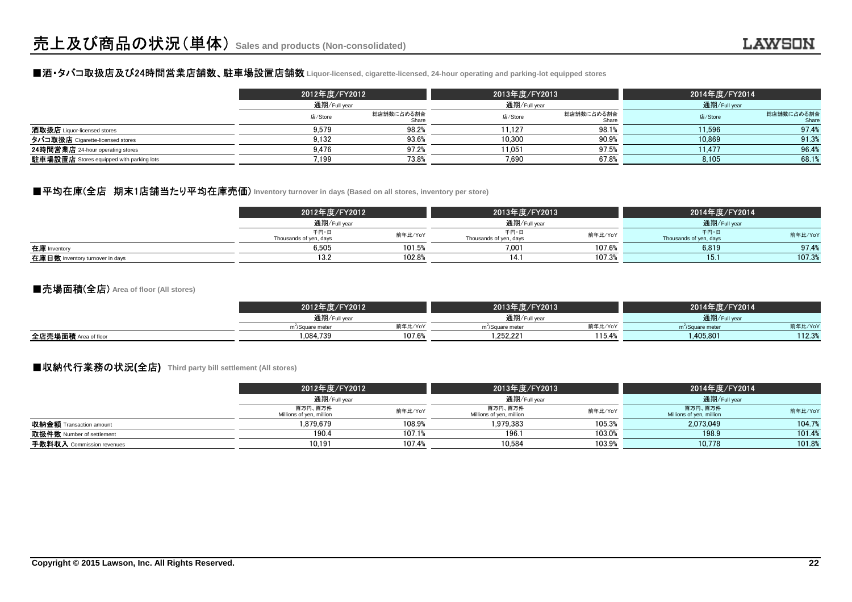### ■酒・タバコ取扱店及び24時間営業店舗数、駐車場設置店舗数 **Liquor-licensed, cigarette-licensed, 24-hour operating and parking-lot equipped stores**

|                                                 |         | 2012年度/FY2012<br>通期/Full year |         | 2013年度/FY2013       | 2014年度/FY2014 |                     |
|-------------------------------------------------|---------|-------------------------------|---------|---------------------|---------------|---------------------|
|                                                 |         |                               |         | 通期/Full year        |               | 通期/Full year        |
|                                                 | 店/Store | 総店舗数に占める割合<br>Share           | 店/Store | 総店舗数に占める割合<br>Share | 店/Store       | 総店舗数に占める割合<br>Share |
| 酒取扱店 Liquor-licensed stores                     | 9.579   | 98.2%                         | 11.127  | 98.1%               | 11.596        | 97.4%               |
| タバコ取扱店 Cigarette-licensed stores                | 9.132   | 93.6%                         | 10.300  | 90.9%               | 10.869        | 91.3%               |
| 24時間営業店 24-hour operating stores                | 9.476   | 97.2%                         | 11.051  | 97.5%               | 11.477        | 96.4%               |
| <b>駐車場設置店</b> Stores equipped with parking lots | 7.199   | 73.8%                         | 7.690   | 67.8%               | 8,105         | 68.1%               |

#### ■平均在庫(全店 期末1店舗当たり平均在庫売価) Inventory turnover in days (Based on all stores, inventory per store)

|                                 | 2012年度/FY2012                  |         | 2013年度/FY2013                  |         | 2014年度/FY2014                  |         |
|---------------------------------|--------------------------------|---------|--------------------------------|---------|--------------------------------|---------|
|                                 | 通期/Full year                   |         | 通期/Full year                   |         | 通期/Full year                   |         |
|                                 | 千円・日<br>Thousands of yen, days | 前年比/YoY | 千円・日<br>Thousands of yen, days | 前年比/YoY | 千円・日<br>Thousands of yen, days | 前年比/YoY |
| 在庫 Inventory                    | 6.505                          | 101.5%  | 7.001                          | 107.6%  | 6,819                          | 97.4%   |
| 在庫日数 Inventory turnover in days |                                | 102.8%  |                                | 107.3%  | 15.                            | 107.3%  |

#### ■売場面積(全店) **Area of floor (All stores)**

|                         | 2012年度/FY2012                |         | 2013年度/FY2013                |         | 2014年度/FY2014                |         |
|-------------------------|------------------------------|---------|------------------------------|---------|------------------------------|---------|
|                         | 通期/Full year                 |         | 通期/Full year                 |         | 通期/Full year                 |         |
|                         | m <sup>2</sup> /Square meter | 前年比/YoY | m <sup>2</sup> /Square meter | 前年比/YoY | m <sup>2</sup> /Square meter | 前年比/YoY |
| 全店売場面積<br>Area of floor | 1.084.739                    | 107.6%  | 1.252.221                    | 115.4%  | .405.801                     | 112.3%  |
|                         |                              |         |                              |         |                              |         |

#### ■収納代行業務の状況**(**全店**) Third party bill settlement (All stores)**

|                                | 2012年度/FY2012                       |         | 2013年度/FY2013                       |              | 2014年度/FY2014                       |              |  |
|--------------------------------|-------------------------------------|---------|-------------------------------------|--------------|-------------------------------------|--------------|--|
|                                | 通期/Full year                        |         |                                     | 通期/Full year |                                     | 通期/Full year |  |
|                                | 百万円、百万件<br>Millions of yen, million | 前年比/YoY | 百万円、百万件<br>Millions of yen, million | 前年比/YoY      | 百万円、百万件<br>Millions of yen, million | 前年比/YoY      |  |
| <b>収納金額</b> Transaction amount | 1.879.679                           | 108.9%  | 1.979.383                           | 105.3%       | 2.073.049                           | 104.7%       |  |
| 取扱件数 Number of settlement      | 190.4                               | 107.1%  | 196.                                | 103.0%       | 198.9                               | 101.4%       |  |
| 手数料収入 Commission revenues      | 10.191                              | 107.4%  | 10.584                              | 103.9%       | 10.778                              | 101.8%       |  |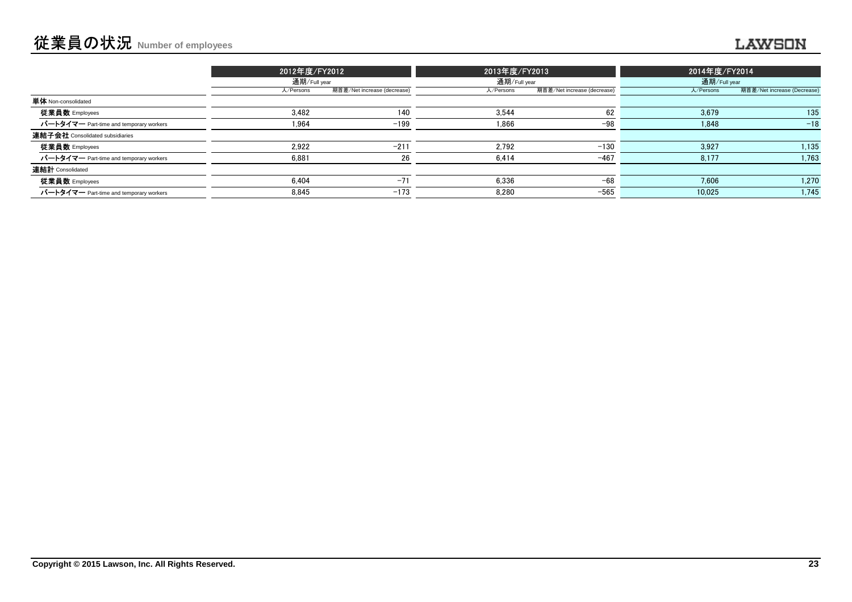| 2013年度/FY2013<br>2014年度/FY2014                                                       | 2012年度/FY2012 |                             |              |                                         |
|--------------------------------------------------------------------------------------|---------------|-----------------------------|--------------|-----------------------------------------|
| 通期/Full year<br>通期/Full year                                                         |               |                             | 通期/Full year |                                         |
| 期首差/Net increase (decrease)<br>期首差/Net increase (Decrease)<br>人/Persons<br>人/Persons |               | 期首差/Net increase (decrease) | 人/Persons    |                                         |
|                                                                                      |               |                             |              | <b>単体</b> Non-consolidated              |
| 62<br>135<br>3.544<br>3.679                                                          |               | 140                         | 3.482        | 従業員数 Employees                          |
| $-98$<br>$-18$<br>1,866<br>1,848                                                     |               | $-199$                      | 1.964        | パートタイマー Part-time and temporary workers |
|                                                                                      |               |                             |              | 連結子会社 Consolidated subsidiaries         |
| 1,135<br>2,792<br>3,927<br>$-130$                                                    |               | $-211$                      | 2.922        | 従業員数 Employees                          |
| 1,763<br>$-467$<br>8,177<br>6,414                                                    |               | 26                          | 6,881        | パートタイマー Part-time and temporary workers |
|                                                                                      |               |                             |              | 連結計 Consolidated                        |
| 1,270<br>$-68$<br>6,336<br>7,606                                                     |               | $-71$                       | 6.404        | 従業員数 Employees                          |
| 1,745<br>$-565$<br>8,280<br>10.025                                                   |               | $-173$                      | 8,845        | パートタイマー Part-time and temporary workers |
|                                                                                      |               |                             |              |                                         |